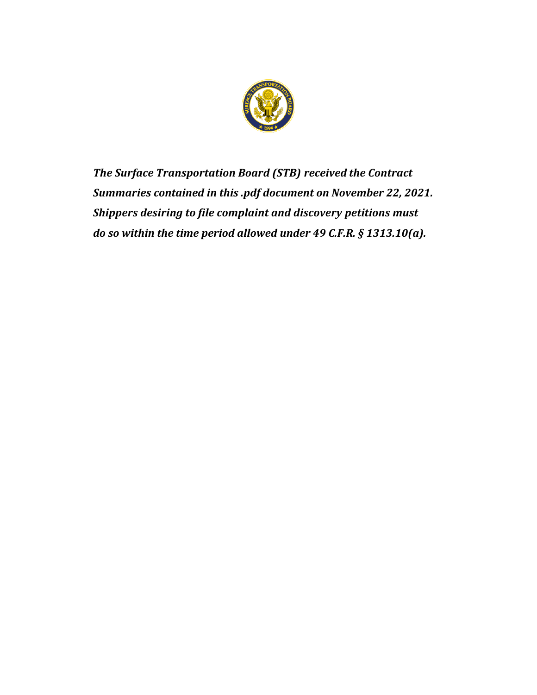

*The Surface Transportation Board (STB) received the Contract Summaries contained in this .pdf document on November 22, 2021. Shippers desiring to file complaint and discovery petitions must do so within the time period allowed under 49 C.F.R. § 1313.10(a).*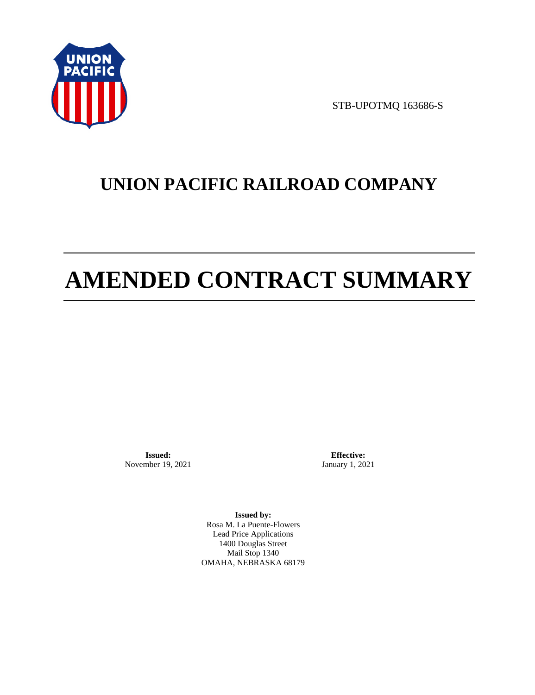

STB-UPOTMQ 163686-S

# **UNION PACIFIC RAILROAD COMPANY**

# **AMENDED CONTRACT SUMMARY**

**Issued:**  November 19, 2021

**Effective:** January 1, 2021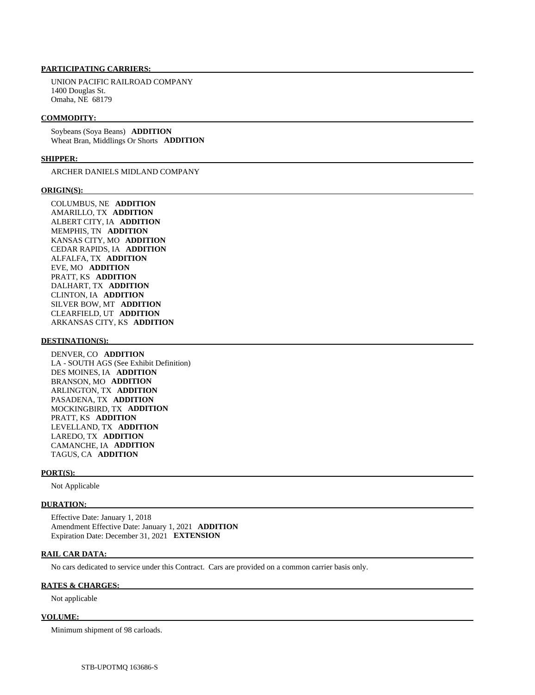UNION PACIFIC RAILROAD COMPANY 1400 Douglas St. Omaha, NE 68179

#### **COMMODITY:**

 Soybeans (Soya Beans) **ADDITION**  Wheat Bran, Middlings Or Shorts **ADDITION** 

#### **SHIPPER:**

ARCHER DANIELS MIDLAND COMPANY

#### **ORIGIN(S):**

 COLUMBUS, NE **ADDITION**  AMARILLO, TX **ADDITION**  ALBERT CITY, IA **ADDITION**  MEMPHIS, TN **ADDITION**  KANSAS CITY, MO **ADDITION**  CEDAR RAPIDS, IA **ADDITION**  ALFALFA, TX **ADDITION**  EVE, MO **ADDITION**  PRATT, KS **ADDITION**  DALHART, TX **ADDITION**  CLINTON, IA **ADDITION**  SILVER BOW, MT **ADDITION**  CLEARFIELD, UT **ADDITION**  ARKANSAS CITY, KS **ADDITION** 

#### **DESTINATION(S):**

 DENVER, CO **ADDITION**  LA - SOUTH AGS (See Exhibit Definition) DES MOINES, IA **ADDITION**  BRANSON, MO **ADDITION**  ARLINGTON, TX **ADDITION**  PASADENA, TX **ADDITION**  MOCKINGBIRD, TX **ADDITION**  PRATT, KS **ADDITION**  LEVELLAND, TX **ADDITION**  LAREDO, TX **ADDITION**  CAMANCHE, IA **ADDITION**  TAGUS, CA **ADDITION** 

#### **PORT(S):**

Not Applicable

#### **DURATION:**

 Effective Date: January 1, 2018 Amendment Effective Date: January 1, 2021 **ADDITION**  Expiration Date: December 31, 2021 **EXTENSION** 

#### **RAIL CAR DATA:**

No cars dedicated to service under this Contract. Cars are provided on a common carrier basis only.

#### **RATES & CHARGES:**

Not applicable

#### **VOLUME:**

Minimum shipment of 98 carloads.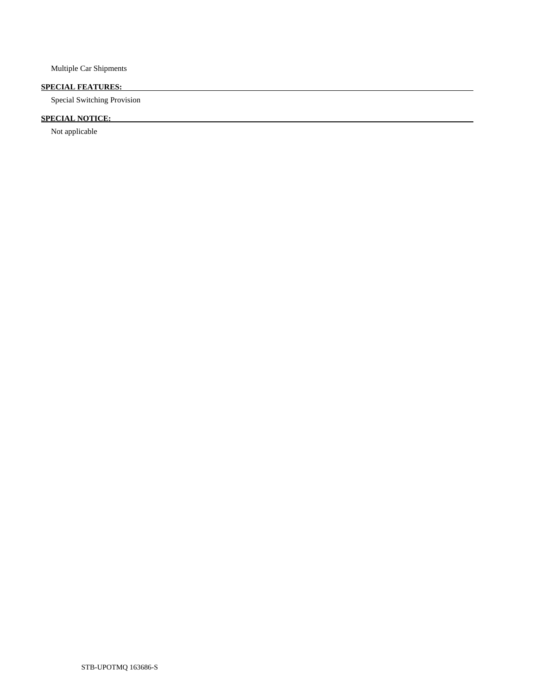Multiple Car Shipments

# **SPECIAL FEATURES:**

Special Switching Provision

# **SPECIAL NOTICE:**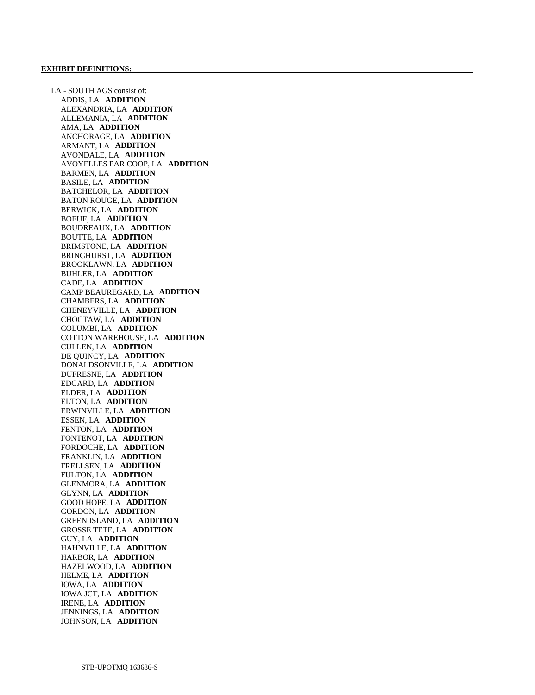LA - SOUTH AGS consist of: ADDIS, LA **ADDITION**  ALEXANDRIA, LA **ADDITION**  ALLEMANIA, LA **ADDITION**  AMA, LA **ADDITION**  ANCHORAGE, LA **ADDITION**  ARMANT, LA **ADDITION**  AVONDALE, LA **ADDITION**  AVOYELLES PAR COOP, LA **ADDITION**  BARMEN, LA **ADDITION**  BASILE, LA **ADDITION**  BATCHELOR, LA **ADDITION**  BATON ROUGE, LA **ADDITION**  BERWICK, LA **ADDITION**  BOEUF, LA **ADDITION**  BOUDREAUX, LA **ADDITION**  BOUTTE, LA **ADDITION**  BRIMSTONE, LA **ADDITION**  BRINGHURST, LA **ADDITION**  BROOKLAWN, LA **ADDITION**  BUHLER, LA **ADDITION**  CADE, LA **ADDITION**  CAMP BEAUREGARD, LA **ADDITION**  CHAMBERS, LA **ADDITION**  CHENEYVILLE, LA **ADDITION**  CHOCTAW, LA **ADDITION**  COLUMBI, LA **ADDITION**  COTTON WAREHOUSE, LA **ADDITION**  CULLEN, LA **ADDITION**  DE QUINCY, LA **ADDITION**  DONALDSONVILLE, LA **ADDITION**  DUFRESNE, LA **ADDITION**  EDGARD, LA **ADDITION**  ELDER, LA **ADDITION**  ELTON, LA **ADDITION**  ERWINVILLE, LA **ADDITION**  ESSEN, LA **ADDITION**  FENTON, LA **ADDITION**  FONTENOT, LA **ADDITION**  FORDOCHE, LA **ADDITION**  FRANKLIN, LA **ADDITION**  FRELLSEN, LA **ADDITION**  FULTON, LA **ADDITION**  GLENMORA, LA **ADDITION**  GLYNN, LA **ADDITION**  GOOD HOPE, LA **ADDITION**  GORDON, LA **ADDITION**  GREEN ISLAND, LA **ADDITION**  GROSSE TETE, LA **ADDITION**  GUY, LA **ADDITION**  HAHNVILLE, LA **ADDITION**  HARBOR, LA **ADDITION**  HAZELWOOD, LA **ADDITION**  HELME, LA **ADDITION**  IOWA, LA **ADDITION**  IOWA JCT, LA **ADDITION**  IRENE, LA **ADDITION**  JENNINGS, LA **ADDITION**  JOHNSON, LA **ADDITION**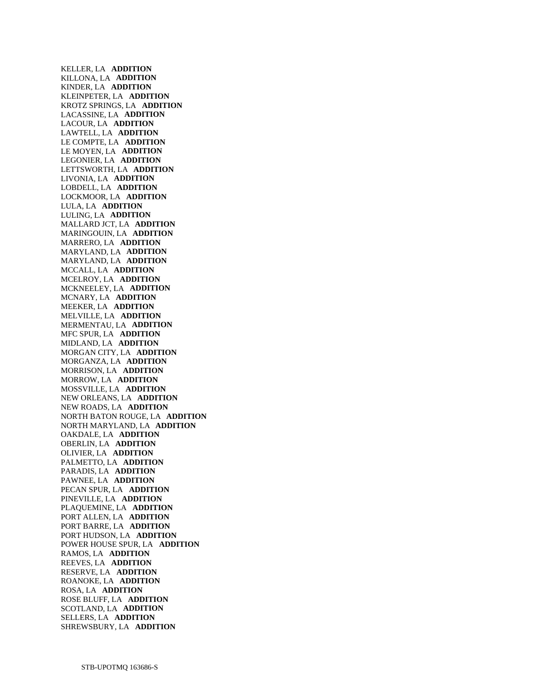KELLER, LA **ADDITION**  KILLONA, LA **ADDITION**  KINDER, LA **ADDITION**  KLEINPETER, LA **ADDITION**  KROTZ SPRINGS, LA **ADDITION**  LACASSINE, LA **ADDITION**  LACOUR, LA **ADDITION**  LAWTELL, LA **ADDITION**  LE COMPTE, LA **ADDITION**  LE MOYEN, LA **ADDITION**  LEGONIER, LA **ADDITION**  LETTSWORTH, LA **ADDITION**  LIVONIA, LA **ADDITION**  LOBDELL, LA **ADDITION**  LOCKMOOR, LA **ADDITION**  LULA, LA **ADDITION**  LULING, LA **ADDITION**  MALLARD JCT, LA **ADDITION**  MARINGOUIN, LA **ADDITION**  MARRERO, LA **ADDITION**  MARYLAND, LA **ADDITION**  MARYLAND, LA **ADDITION**  MCCALL, LA **ADDITION**  MCELROY, LA **ADDITION**  MCKNEELEY, LA **ADDITION**  MCNARY, LA **ADDITION**  MEEKER, LA **ADDITION**  MELVILLE, LA **ADDITION**  MERMENTAU, LA **ADDITION**  MFC SPUR, LA **ADDITION**  MIDLAND, LA **ADDITION**  MORGAN CITY, LA **ADDITION**  MORGANZA, LA **ADDITION**  MORRISON, LA **ADDITION**  MORROW, LA **ADDITION**  MOSSVILLE, LA **ADDITION**  NEW ORLEANS, LA **ADDITION**  NEW ROADS, LA **ADDITION**  NORTH BATON ROUGE, LA **ADDITION**  NORTH MARYLAND, LA **ADDITION**  OAKDALE, LA **ADDITION**  OBERLIN, LA **ADDITION**  OLIVIER, LA **ADDITION**  PALMETTO, LA **ADDITION**  PARADIS, LA **ADDITION**  PAWNEE, LA **ADDITION**  PECAN SPUR, LA **ADDITION**  PINEVILLE, LA **ADDITION**  PLAQUEMINE, LA **ADDITION**  PORT ALLEN, LA **ADDITION**  PORT BARRE, LA **ADDITION**  PORT HUDSON, LA **ADDITION**  POWER HOUSE SPUR, LA **ADDITION**  RAMOS, LA **ADDITION**  REEVES, LA **ADDITION**  RESERVE, LA **ADDITION**  ROANOKE, LA **ADDITION**  ROSA, LA **ADDITION**  ROSE BLUFF, LA **ADDITION**  SCOTLAND, LA **ADDITION**  SELLERS, LA **ADDITION**  SHREWSBURY, LA **ADDITION**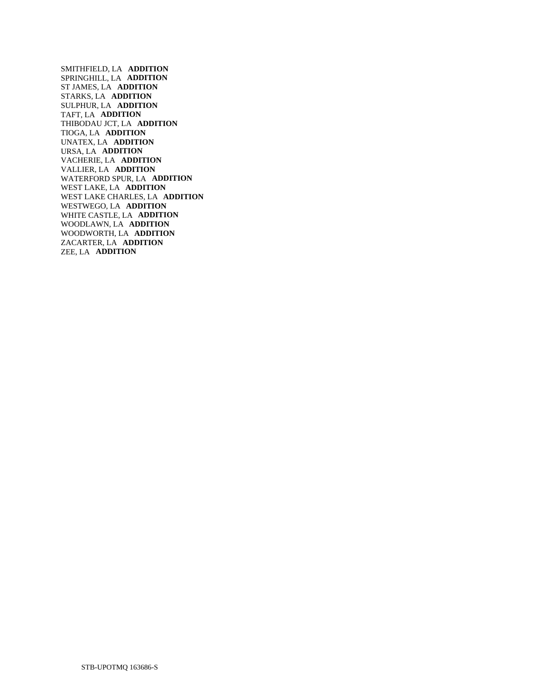SMITHFIELD, LA **ADDITION**  SPRINGHILL, LA **ADDITION**  ST JAMES, LA **ADDITION**  STARKS, LA **ADDITION**  SULPHUR, LA **ADDITION**  TAFT, LA **ADDITION**  THIBODAU JCT, LA **ADDITION**  TIOGA, LA **ADDITION**  UNATEX, LA **ADDITION**  URSA, LA **ADDITION**  VACHERIE, LA **ADDITION**  VALLIER, LA **ADDITION**  WATERFORD SPUR, LA **ADDITION**  WEST LAKE, LA **ADDITION**  WEST LAKE CHARLES, LA **ADDITION**  WESTWEGO, LA **ADDITION**  WHITE CASTLE, LA **ADDITION**  WOODLAWN, LA **ADDITION**  WOODWORTH, LA **ADDITION**  ZACARTER, LA **ADDITION**  ZEE, LA **ADDITION**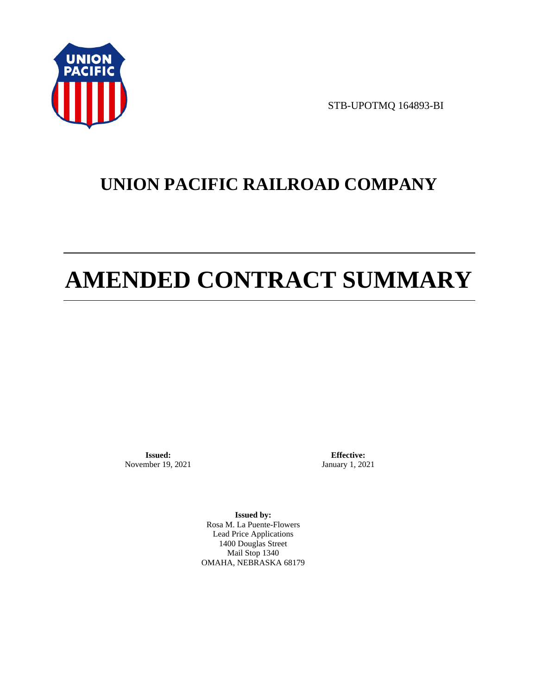

STB-UPOTMQ 164893-BI

# **UNION PACIFIC RAILROAD COMPANY**

# **AMENDED CONTRACT SUMMARY**

**Issued:**  November 19, 2021

**Effective:** January 1, 2021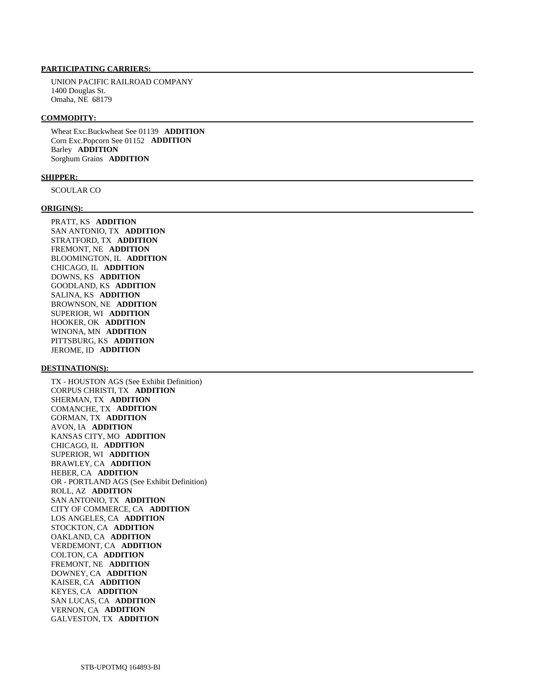UNION PACIFIC RAILROAD COMPANY 1400 Douglas St. Omaha, NE 68179

#### **COMMODITY:**

 Wheat Exc.Buckwheat See 01139 **ADDITION**  Corn Exc.Popcorn See 01152 **ADDITION**  Barley **ADDITION**  Sorghum Grains **ADDITION** 

#### **SHIPPER:**

SCOULAR CO

#### **ORIGIN(S):**

 PRATT, KS **ADDITION**  SAN ANTONIO, TX **ADDITION**  STRATFORD, TX **ADDITION**  FREMONT, NE **ADDITION**  BLOOMINGTON, IL **ADDITION**  CHICAGO, IL **ADDITION**  DOWNS, KS **ADDITION**  GOODLAND, KS **ADDITION**  SALINA, KS **ADDITION**  BROWNSON, NE **ADDITION**  SUPERIOR, WI **ADDITION**  HOOKER, OK **ADDITION**  WINONA, MN **ADDITION**  PITTSBURG, KS **ADDITION**  JEROME, ID **ADDITION** 

#### **DESTINATION(S):**

 TX - HOUSTON AGS (See Exhibit Definition) CORPUS CHRISTI, TX **ADDITION**  SHERMAN, TX **ADDITION**  COMANCHE, TX **ADDITION**  GORMAN, TX **ADDITION**  AVON, IA **ADDITION**  KANSAS CITY, MO **ADDITION**  CHICAGO, IL **ADDITION**  SUPERIOR, WI **ADDITION**  BRAWLEY, CA **ADDITION**  HEBER, CA **ADDITION**  OR - PORTLAND AGS (See Exhibit Definition) ROLL, AZ **ADDITION**  SAN ANTONIO, TX **ADDITION**  CITY OF COMMERCE, CA **ADDITION**  LOS ANGELES, CA **ADDITION**  STOCKTON, CA **ADDITION**  OAKLAND, CA **ADDITION**  VERDEMONT, CA **ADDITION**  COLTON, CA **ADDITION**  FREMONT, NE **ADDITION**  DOWNEY, CA **ADDITION**  KAISER, CA **ADDITION**  KEYES, CA **ADDITION**  SAN LUCAS, CA **ADDITION**  VERNON, CA **ADDITION**  GALVESTON, TX **ADDITION**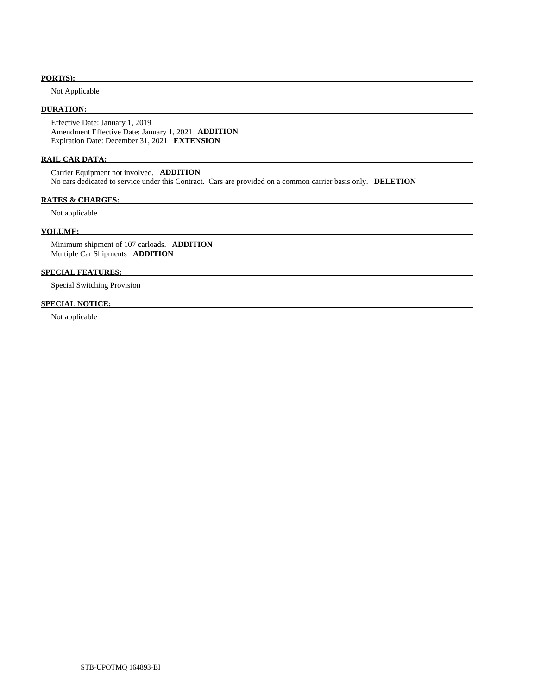#### **PORT(S):**

Not Applicable

# **DURATION:**

 Effective Date: January 1, 2019 Amendment Effective Date: January 1, 2021 **ADDITION**  Expiration Date: December 31, 2021 **EXTENSION** 

#### **RAIL CAR DATA:**

 Carrier Equipment not involved. **ADDITION**  No cars dedicated to service under this Contract. Cars are provided on a common carrier basis only. **DELETION** 

#### **RATES & CHARGES:**

Not applicable

## **VOLUME:**

 Minimum shipment of 107 carloads. **ADDITION**  Multiple Car Shipments **ADDITION** 

### **SPECIAL FEATURES:**

Special Switching Provision

#### **SPECIAL NOTICE:**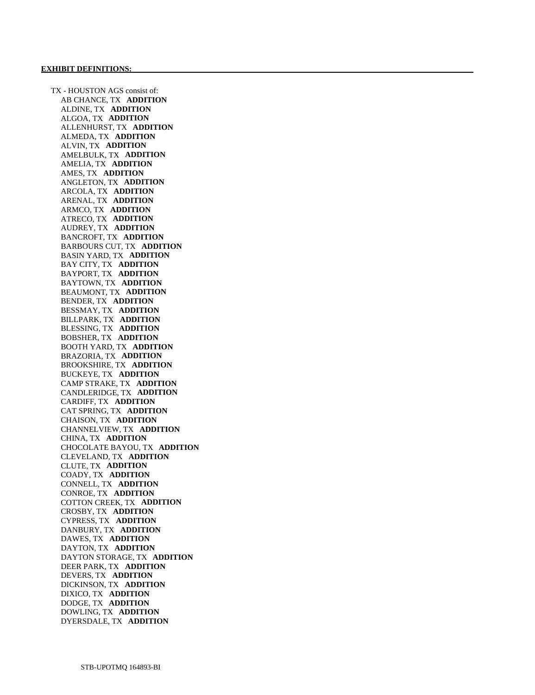TX - HOUSTON AGS consist of: AB CHANCE, TX **ADDITION**  ALDINE, TX **ADDITION**  ALGOA, TX **ADDITION**  ALLENHURST, TX **ADDITION**  ALMEDA, TX **ADDITION**  ALVIN, TX **ADDITION**  AMELBULK, TX **ADDITION**  AMELIA, TX **ADDITION**  AMES, TX **ADDITION**  ANGLETON, TX **ADDITION**  ARCOLA, TX **ADDITION**  ARENAL, TX **ADDITION**  ARMCO, TX **ADDITION**  ATRECO, TX **ADDITION**  AUDREY, TX **ADDITION**  BANCROFT, TX **ADDITION**  BARBOURS CUT, TX **ADDITION**  BASIN YARD, TX **ADDITION**  BAY CITY, TX **ADDITION**  BAYPORT, TX **ADDITION**  BAYTOWN, TX **ADDITION**  BEAUMONT, TX **ADDITION**  BENDER, TX **ADDITION**  BESSMAY, TX **ADDITION**  BILLPARK, TX **ADDITION**  BLESSING, TX **ADDITION**  BOBSHER, TX **ADDITION**  BOOTH YARD, TX **ADDITION**  BRAZORIA, TX **ADDITION**  BROOKSHIRE, TX **ADDITION**  BUCKEYE, TX **ADDITION**  CAMP STRAKE, TX **ADDITION**  CANDLERIDGE, TX **ADDITION**  CARDIFF, TX **ADDITION**  CAT SPRING, TX **ADDITION**  CHAISON, TX **ADDITION**  CHANNELVIEW, TX **ADDITION**  CHINA, TX **ADDITION**  CHOCOLATE BAYOU, TX **ADDITION**  CLEVELAND, TX **ADDITION**  CLUTE, TX **ADDITION**  COADY, TX **ADDITION**  CONNELL, TX **ADDITION**  CONROE, TX **ADDITION**  COTTON CREEK, TX **ADDITION**  CROSBY, TX **ADDITION**  CYPRESS, TX **ADDITION**  DANBURY, TX **ADDITION**  DAWES, TX **ADDITION**  DAYTON, TX **ADDITION**  DAYTON STORAGE, TX **ADDITION**  DEER PARK, TX **ADDITION**  DEVERS, TX **ADDITION**  DICKINSON, TX **ADDITION**  DIXICO, TX **ADDITION**  DODGE, TX **ADDITION**  DOWLING, TX **ADDITION**  DYERSDALE, TX **ADDITION**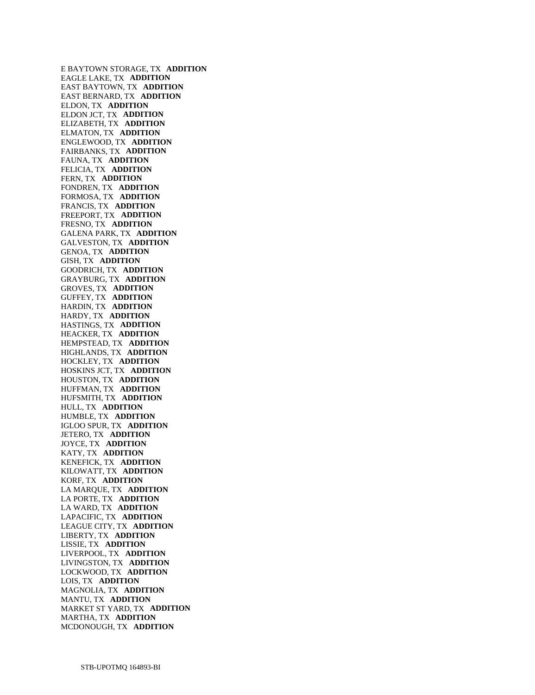E BAYTOWN STORAGE, TX **ADDITION**  EAGLE LAKE, TX **ADDITION**  EAST BAYTOWN, TX **ADDITION**  EAST BERNARD, TX **ADDITION**  ELDON, TX **ADDITION**  ELDON JCT, TX **ADDITION**  ELIZABETH, TX **ADDITION**  ELMATON, TX **ADDITION**  ENGLEWOOD, TX **ADDITION**  FAIRBANKS, TX **ADDITION**  FAUNA, TX **ADDITION**  FELICIA, TX **ADDITION**  FERN, TX **ADDITION**  FONDREN, TX **ADDITION**  FORMOSA, TX **ADDITION**  FRANCIS, TX **ADDITION**  FREEPORT, TX **ADDITION**  FRESNO, TX **ADDITION**  GALENA PARK, TX **ADDITION**  GALVESTON, TX **ADDITION**  GENOA, TX **ADDITION**  GISH, TX **ADDITION**  GOODRICH, TX **ADDITION**  GRAYBURG, TX **ADDITION**  GROVES, TX **ADDITION**  GUFFEY, TX **ADDITION**  HARDIN, TX **ADDITION**  HARDY, TX **ADDITION**  HASTINGS, TX **ADDITION**  HEACKER, TX **ADDITION**  HEMPSTEAD, TX **ADDITION**  HIGHLANDS, TX **ADDITION**  HOCKLEY, TX **ADDITION**  HOSKINS JCT, TX **ADDITION**  HOUSTON, TX **ADDITION**  HUFFMAN, TX **ADDITION**  HUFSMITH, TX **ADDITION**  HULL, TX **ADDITION**  HUMBLE, TX **ADDITION**  IGLOO SPUR, TX **ADDITION**  JETERO, TX **ADDITION**  JOYCE, TX **ADDITION**  KATY, TX **ADDITION**  KENEFICK, TX **ADDITION**  KILOWATT, TX **ADDITION**  KORF, TX **ADDITION**  LA MARQUE, TX **ADDITION**  LA PORTE, TX **ADDITION**  LA WARD, TX **ADDITION**  LAPACIFIC, TX **ADDITION**  LEAGUE CITY, TX **ADDITION**  LIBERTY, TX **ADDITION**  LISSIE, TX **ADDITION**  LIVERPOOL, TX **ADDITION**  LIVINGSTON, TX **ADDITION**  LOCKWOOD, TX **ADDITION**  LOIS, TX **ADDITION**  MAGNOLIA, TX **ADDITION**  MANTU, TX **ADDITION**  MARKET ST YARD, TX **ADDITION**  MARTHA, TX **ADDITION**  MCDONOUGH, TX **ADDITION**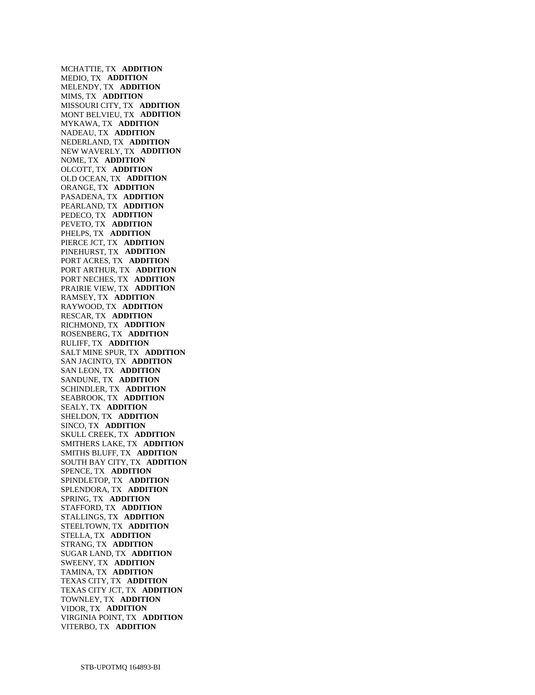MCHATTIE, TX **ADDITION**  MEDIO, TX **ADDITION**  MELENDY, TX **ADDITION**  MIMS, TX **ADDITION**  MISSOURI CITY, TX **ADDITION**  MONT BELVIEU, TX **ADDITION**  MYKAWA, TX **ADDITION**  NADEAU, TX **ADDITION**  NEDERLAND, TX **ADDITION**  NEW WAVERLY, TX **ADDITION**  NOME, TX **ADDITION**  OLCOTT, TX **ADDITION**  OLD OCEAN, TX **ADDITION**  ORANGE, TX **ADDITION**  PASADENA, TX **ADDITION**  PEARLAND, TX **ADDITION**  PEDECO, TX **ADDITION**  PEVETO, TX **ADDITION**  PHELPS, TX **ADDITION**  PIERCE JCT, TX **ADDITION**  PINEHURST, TX **ADDITION**  PORT ACRES, TX **ADDITION**  PORT ARTHUR, TX **ADDITION**  PORT NECHES, TX **ADDITION**  PRAIRIE VIEW, TX **ADDITION**  RAMSEY, TX **ADDITION**  RAYWOOD, TX **ADDITION**  RESCAR, TX **ADDITION**  RICHMOND, TX **ADDITION**  ROSENBERG, TX **ADDITION**  RULIFF, TX **ADDITION**  SALT MINE SPUR, TX **ADDITION**  SAN JACINTO, TX **ADDITION**  SAN LEON, TX **ADDITION**  SANDUNE, TX **ADDITION**  SCHINDLER, TX **ADDITION**  SEABROOK, TX **ADDITION**  SEALY, TX **ADDITION**  SHELDON, TX **ADDITION**  SINCO, TX **ADDITION**  SKULL CREEK, TX **ADDITION**  SMITHERS LAKE, TX **ADDITION**  SMITHS BLUFF, TX **ADDITION**  SOUTH BAY CITY, TX **ADDITION**  SPENCE, TX **ADDITION**  SPINDLETOP, TX **ADDITION**  SPLENDORA, TX **ADDITION**  SPRING, TX **ADDITION**  STAFFORD, TX **ADDITION**  STALLINGS, TX **ADDITION**  STEELTOWN, TX **ADDITION**  STELLA, TX **ADDITION**  STRANG, TX **ADDITION**  SUGAR LAND, TX **ADDITION**  SWEENY, TX **ADDITION**  TAMINA, TX **ADDITION**  TEXAS CITY, TX **ADDITION**  TEXAS CITY JCT, TX **ADDITION**  TOWNLEY, TX **ADDITION**  VIDOR, TX **ADDITION**  VIRGINIA POINT, TX **ADDITION**  VITERBO, TX **ADDITION**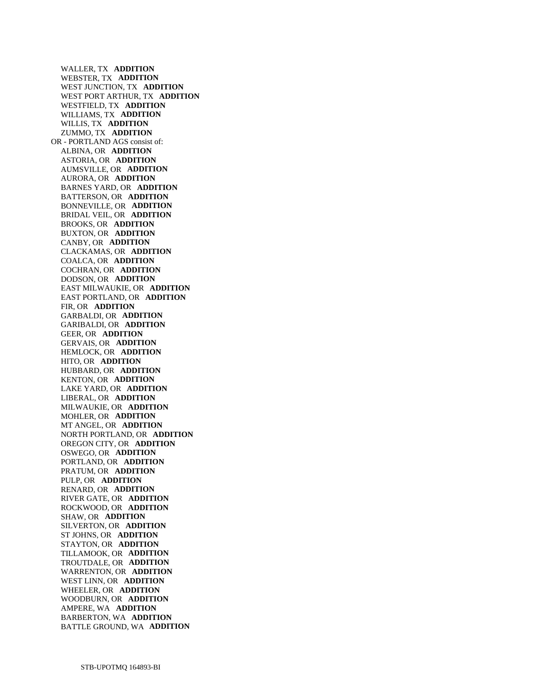WALLER, TX **ADDITION**  WEBSTER, TX **ADDITION**  WEST JUNCTION, TX **ADDITION**  WEST PORT ARTHUR, TX **ADDITION**  WESTFIELD, TX **ADDITION**  WILLIAMS, TX **ADDITION**  WILLIS, TX **ADDITION**  ZUMMO, TX **ADDITION**  OR - PORTLAND AGS consist of: ALBINA, OR **ADDITION**  ASTORIA, OR **ADDITION**  AUMSVILLE, OR **ADDITION**  AURORA, OR **ADDITION**  BARNES YARD, OR **ADDITION**  BATTERSON, OR **ADDITION**  BONNEVILLE, OR **ADDITION**  BRIDAL VEIL, OR **ADDITION**  BROOKS, OR **ADDITION**  BUXTON, OR **ADDITION**  CANBY, OR **ADDITION**  CLACKAMAS, OR **ADDITION**  COALCA, OR **ADDITION**  COCHRAN, OR **ADDITION**  DODSON, OR **ADDITION**  EAST MILWAUKIE, OR **ADDITION**  EAST PORTLAND, OR **ADDITION**  FIR, OR **ADDITION**  GARBALDI, OR **ADDITION**  GARIBALDI, OR **ADDITION**  GEER, OR **ADDITION**  GERVAIS, OR **ADDITION**  HEMLOCK, OR **ADDITION**  HITO, OR **ADDITION**  HUBBARD, OR **ADDITION**  KENTON, OR **ADDITION**  LAKE YARD, OR **ADDITION**  LIBERAL, OR **ADDITION**  MILWAUKIE, OR **ADDITION**  MOHLER, OR **ADDITION**  MT ANGEL, OR **ADDITION**  NORTH PORTLAND, OR **ADDITION**  OREGON CITY, OR **ADDITION**  OSWEGO, OR **ADDITION**  PORTLAND, OR **ADDITION**  PRATUM, OR **ADDITION**  PULP, OR **ADDITION**  RENARD, OR **ADDITION**  RIVER GATE, OR **ADDITION**  ROCKWOOD, OR **ADDITION**  SHAW, OR **ADDITION**  SILVERTON, OR **ADDITION**  ST JOHNS, OR **ADDITION**  STAYTON, OR **ADDITION**  TILLAMOOK, OR **ADDITION**  TROUTDALE, OR **ADDITION**  WARRENTON, OR **ADDITION**  WEST LINN, OR **ADDITION**  WHEELER, OR **ADDITION**  WOODBURN, OR **ADDITION**  AMPERE, WA **ADDITION**  BARBERTON, WA **ADDITION**  BATTLE GROUND, WA **ADDITION**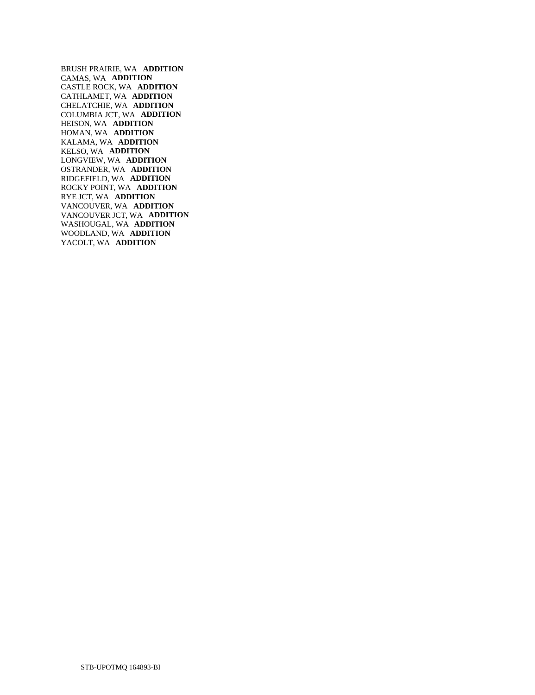BRUSH PRAIRIE, WA **ADDITION**  CAMAS, WA **ADDITION**  CASTLE ROCK, WA **ADDITION**  CATHLAMET, WA **ADDITION**  CHELATCHIE, WA **ADDITION**  COLUMBIA JCT, WA **ADDITION**  HEISON, WA **ADDITION**  HOMAN, WA **ADDITION**  KALAMA, WA **ADDITION**  KELSO, WA **ADDITION**  LONGVIEW, WA **ADDITION**  OSTRANDER, WA **ADDITION**  RIDGEFIELD, WA **ADDITION**  ROCKY POINT, WA **ADDITION**  RYE JCT, WA **ADDITION**  VANCOUVER, WA **ADDITION**  VANCOUVER JCT, WA **ADDITION**  WASHOUGAL, WA **ADDITION**  WOODLAND, WA **ADDITION**  YACOLT, WA **ADDITION**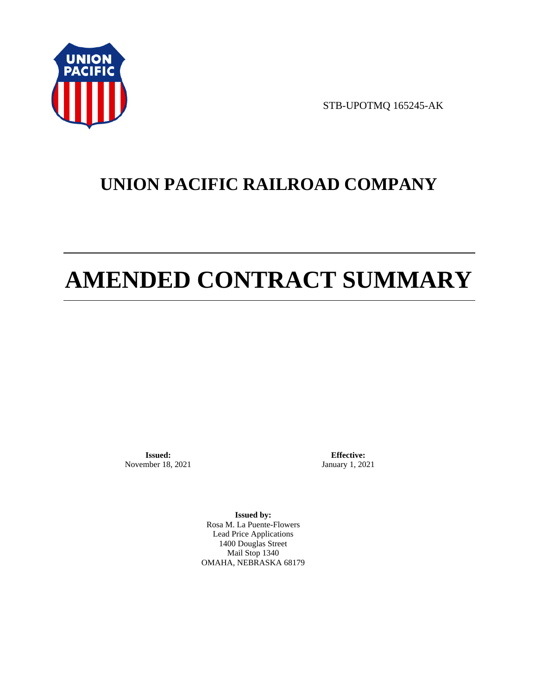

STB-UPOTMQ 165245-AK

# **UNION PACIFIC RAILROAD COMPANY**

# **AMENDED CONTRACT SUMMARY**

**Issued:**  November 18, 2021

**Effective:** January 1, 2021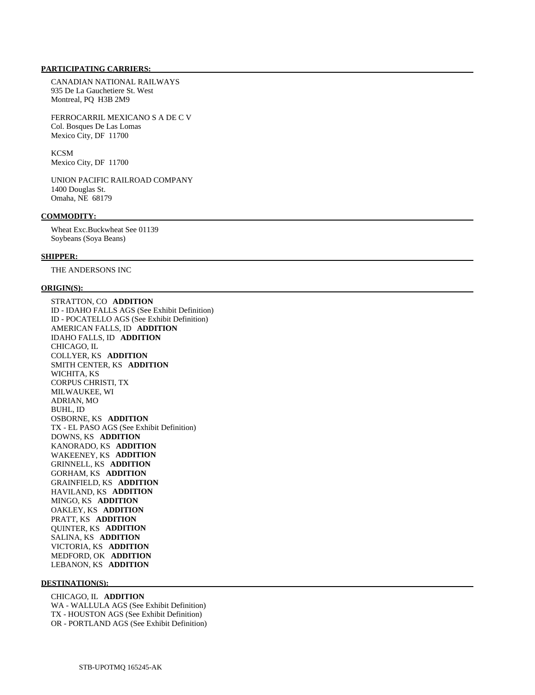CANADIAN NATIONAL RAILWAYS 935 De La Gauchetiere St. West Montreal, PQ H3B 2M9

 FERROCARRIL MEXICANO S A DE C V Col. Bosques De Las Lomas Mexico City, DF 11700

**KCSM** Mexico City, DF 11700

 UNION PACIFIC RAILROAD COMPANY 1400 Douglas St. Omaha, NE 68179

#### **COMMODITY:**

 Wheat Exc.Buckwheat See 01139 Soybeans (Soya Beans)

#### **SHIPPER:**

THE ANDERSONS INC

#### **ORIGIN(S):**

 STRATTON, CO **ADDITION**  ID - IDAHO FALLS AGS (See Exhibit Definition) ID - POCATELLO AGS (See Exhibit Definition) AMERICAN FALLS, ID **ADDITION**  IDAHO FALLS, ID **ADDITION**  CHICAGO, IL COLLYER, KS **ADDITION**  SMITH CENTER, KS **ADDITION**  WICHITA, KS CORPUS CHRISTI, TX MILWAUKEE, WI ADRIAN, MO BUHL, ID OSBORNE, KS **ADDITION**  TX - EL PASO AGS (See Exhibit Definition) DOWNS, KS **ADDITION**  KANORADO, KS **ADDITION**  WAKEENEY, KS **ADDITION**  GRINNELL, KS **ADDITION**  GORHAM, KS **ADDITION**  GRAINFIELD, KS **ADDITION**  HAVILAND, KS **ADDITION**  MINGO, KS **ADDITION**  OAKLEY, KS **ADDITION**  PRATT, KS **ADDITION**  QUINTER, KS **ADDITION**  SALINA, KS **ADDITION**  VICTORIA, KS **ADDITION**  MEDFORD, OK **ADDITION**  LEBANON, KS **ADDITION** 

#### **DESTINATION(S):**

 CHICAGO, IL **ADDITION**  WA - WALLULA AGS (See Exhibit Definition) TX - HOUSTON AGS (See Exhibit Definition) OR - PORTLAND AGS (See Exhibit Definition)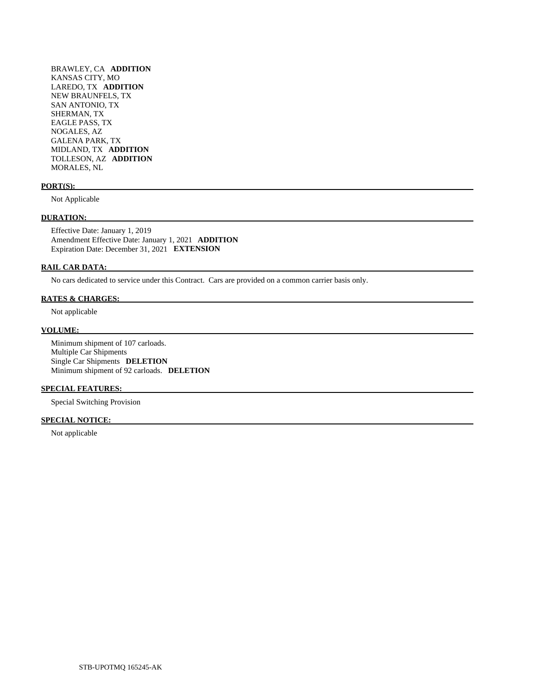BRAWLEY, CA **ADDITION**  KANSAS CITY, MO LAREDO, TX **ADDITION**  NEW BRAUNFELS, TX SAN ANTONIO, TX SHERMAN, TX EAGLE PASS, TX NOGALES, AZ GALENA PARK, TX MIDLAND, TX **ADDITION**  TOLLESON, AZ **ADDITION**  MORALES, NL

#### **PORT(S):**

Not Applicable

#### **DURATION:**

 Effective Date: January 1, 2019 Amendment Effective Date: January 1, 2021 **ADDITION**  Expiration Date: December 31, 2021 **EXTENSION** 

#### **RAIL CAR DATA:**

No cars dedicated to service under this Contract. Cars are provided on a common carrier basis only.

#### **RATES & CHARGES:**

Not applicable

### **VOLUME:**

 Minimum shipment of 107 carloads. Multiple Car Shipments Single Car Shipments **DELETION**  Minimum shipment of 92 carloads. **DELETION** 

#### **SPECIAL FEATURES:**

Special Switching Provision

## **SPECIAL NOTICE:**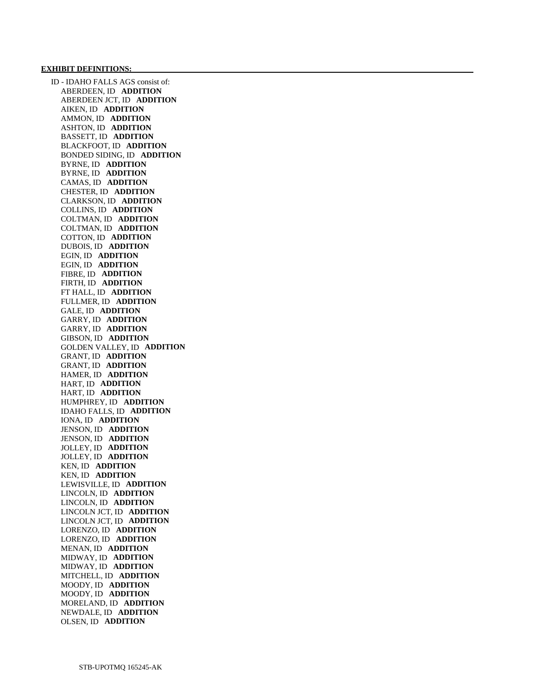#### **EXHIBIT DEFINITIONS:**

 ID - IDAHO FALLS AGS consist of: ABERDEEN, ID **ADDITION**  ABERDEEN JCT, ID **ADDITION**  AIKEN, ID **ADDITION**  AMMON, ID **ADDITION**  ASHTON, ID **ADDITION**  BASSETT, ID **ADDITION**  BLACKFOOT, ID **ADDITION**  BONDED SIDING, ID **ADDITION**  BYRNE, ID **ADDITION**  BYRNE, ID **ADDITION**  CAMAS, ID **ADDITION**  CHESTER, ID **ADDITION**  CLARKSON, ID **ADDITION**  COLLINS, ID **ADDITION**  COLTMAN, ID **ADDITION**  COLTMAN, ID **ADDITION**  COTTON, ID **ADDITION**  DUBOIS, ID **ADDITION**  EGIN, ID **ADDITION**  EGIN, ID **ADDITION**  FIBRE, ID **ADDITION**  FIRTH, ID **ADDITION**  FT HALL, ID **ADDITION**  FULLMER, ID **ADDITION**  GALE, ID **ADDITION**  GARRY, ID **ADDITION**  GARRY, ID **ADDITION**  GIBSON, ID **ADDITION**  GOLDEN VALLEY, ID **ADDITION**  GRANT, ID **ADDITION**  GRANT, ID **ADDITION**  HAMER, ID **ADDITION**  HART, ID **ADDITION**  HART, ID **ADDITION**  HUMPHREY, ID **ADDITION**  IDAHO FALLS, ID **ADDITION**  IONA, ID **ADDITION**  JENSON, ID **ADDITION**  JENSON, ID **ADDITION**  JOLLEY, ID **ADDITION**  JOLLEY, ID **ADDITION**  KEN, ID **ADDITION**  KEN, ID **ADDITION**  LEWISVILLE, ID **ADDITION**  LINCOLN, ID **ADDITION**  LINCOLN, ID **ADDITION**  LINCOLN JCT, ID **ADDITION**  LINCOLN JCT, ID **ADDITION**  LORENZO, ID **ADDITION**  LORENZO, ID **ADDITION**  MENAN, ID **ADDITION**  MIDWAY, ID **ADDITION**  MIDWAY, ID **ADDITION**  MITCHELL, ID **ADDITION**  MOODY, ID **ADDITION**  MOODY, ID **ADDITION**  MORELAND, ID **ADDITION**  NEWDALE, ID **ADDITION**  OLSEN, ID **ADDITION**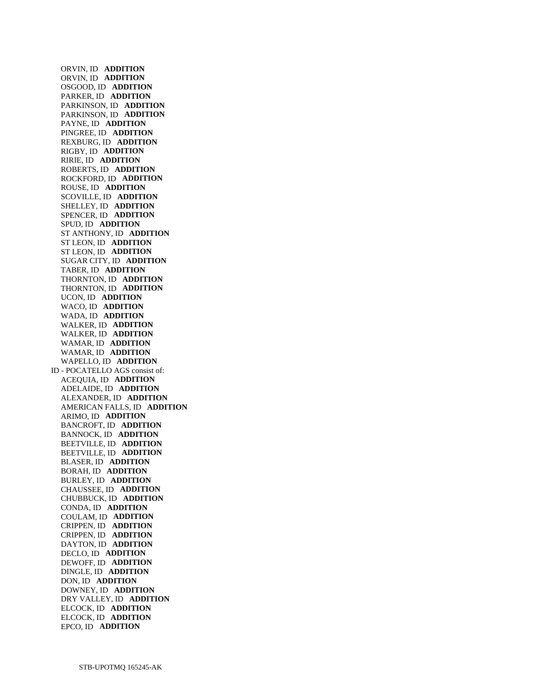ORVIN, ID **ADDITION**  ORVIN, ID **ADDITION**  OSGOOD, ID **ADDITION**  PARKER, ID **ADDITION**  PARKINSON, ID **ADDITION**  PARKINSON, ID **ADDITION**  PAYNE, ID **ADDITION**  PINGREE, ID **ADDITION**  REXBURG, ID **ADDITION**  RIGBY, ID **ADDITION**  RIRIE, ID **ADDITION**  ROBERTS, ID **ADDITION**  ROCKFORD, ID **ADDITION**  ROUSE, ID **ADDITION**  SCOVILLE, ID **ADDITION**  SHELLEY, ID **ADDITION**  SPENCER, ID **ADDITION**  SPUD, ID **ADDITION**  ST ANTHONY, ID **ADDITION**  ST LEON, ID **ADDITION**  ST LEON, ID **ADDITION**  SUGAR CITY, ID **ADDITION**  TABER, ID **ADDITION**  THORNTON, ID **ADDITION**  THORNTON, ID **ADDITION**  UCON, ID **ADDITION**  WACO, ID **ADDITION**  WADA, ID **ADDITION**  WALKER, ID **ADDITION**  WALKER, ID **ADDITION**  WAMAR, ID **ADDITION**  WAMAR, ID **ADDITION**  WAPELLO, ID **ADDITION**  ID - POCATELLO AGS consist of: ACEQUIA, ID **ADDITION**  ADELAIDE, ID **ADDITION**  ALEXANDER, ID **ADDITION**  AMERICAN FALLS, ID **ADDITION**  ARIMO, ID **ADDITION**  BANCROFT, ID **ADDITION**  BANNOCK, ID **ADDITION**  BEETVILLE, ID **ADDITION**  BEETVILLE, ID **ADDITION**  BLASER, ID **ADDITION**  BORAH, ID **ADDITION**  BURLEY, ID **ADDITION**  CHAUSSEE, ID **ADDITION**  CHUBBUCK, ID **ADDITION**  CONDA, ID **ADDITION**  COULAM, ID **ADDITION**  CRIPPEN, ID **ADDITION**  CRIPPEN, ID **ADDITION**  DAYTON, ID **ADDITION**  DECLO, ID **ADDITION**  DEWOFF, ID **ADDITION**  DINGLE, ID **ADDITION**  DON, ID **ADDITION**  DOWNEY, ID **ADDITION**  DRY VALLEY, ID **ADDITION**  ELCOCK, ID **ADDITION**  ELCOCK, ID **ADDITION**  EPCO, ID **ADDITION**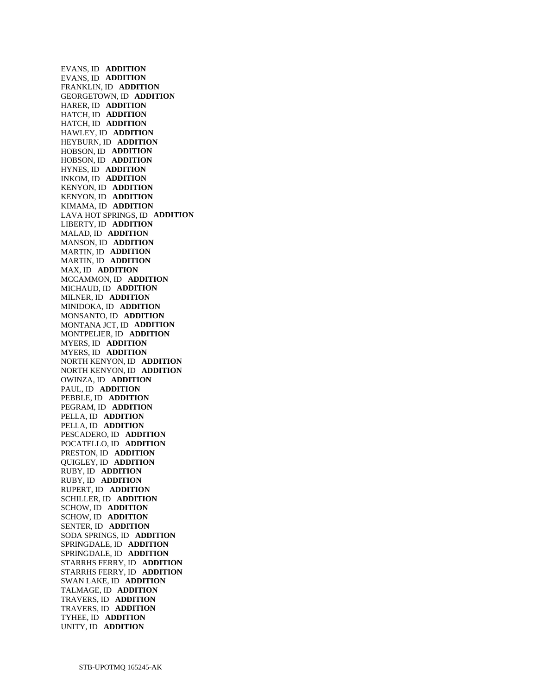EVANS, ID **ADDITION**  EVANS, ID **ADDITION**  FRANKLIN, ID **ADDITION**  GEORGETOWN, ID **ADDITION**  HARER, ID **ADDITION**  HATCH, ID **ADDITION**  HATCH, ID **ADDITION**  HAWLEY, ID **ADDITION**  HEYBURN, ID **ADDITION**  HOBSON, ID **ADDITION**  HOBSON, ID **ADDITION**  HYNES, ID **ADDITION**  INKOM, ID **ADDITION**  KENYON, ID **ADDITION**  KENYON, ID **ADDITION**  KIMAMA, ID **ADDITION**  LAVA HOT SPRINGS, ID **ADDITION**  LIBERTY, ID **ADDITION**  MALAD, ID **ADDITION**  MANSON, ID **ADDITION**  MARTIN, ID **ADDITION**  MARTIN, ID **ADDITION**  MAX, ID **ADDITION**  MCCAMMON, ID **ADDITION**  MICHAUD, ID **ADDITION**  MILNER, ID **ADDITION**  MINIDOKA, ID **ADDITION**  MONSANTO, ID **ADDITION**  MONTANA JCT, ID **ADDITION**  MONTPELIER, ID **ADDITION**  MYERS, ID **ADDITION**  MYERS, ID **ADDITION**  NORTH KENYON, ID **ADDITION**  NORTH KENYON, ID **ADDITION**  OWINZA, ID **ADDITION**  PAUL, ID **ADDITION**  PEBBLE, ID **ADDITION**  PEGRAM, ID **ADDITION**  PELLA, ID **ADDITION**  PELLA, ID **ADDITION**  PESCADERO, ID **ADDITION**  POCATELLO, ID **ADDITION**  PRESTON, ID **ADDITION**  QUIGLEY, ID **ADDITION**  RUBY, ID **ADDITION**  RUBY, ID **ADDITION**  RUPERT, ID **ADDITION**  SCHILLER, ID **ADDITION**  SCHOW, ID **ADDITION**  SCHOW, ID **ADDITION**  SENTER, ID **ADDITION**  SODA SPRINGS, ID **ADDITION**  SPRINGDALE, ID **ADDITION**  SPRINGDALE, ID **ADDITION**  STARRHS FERRY, ID **ADDITION**  STARRHS FERRY, ID **ADDITION**  SWAN LAKE, ID **ADDITION**  TALMAGE, ID **ADDITION**  TRAVERS, ID **ADDITION**  TRAVERS, ID **ADDITION**  TYHEE, ID **ADDITION**  UNITY, ID **ADDITION**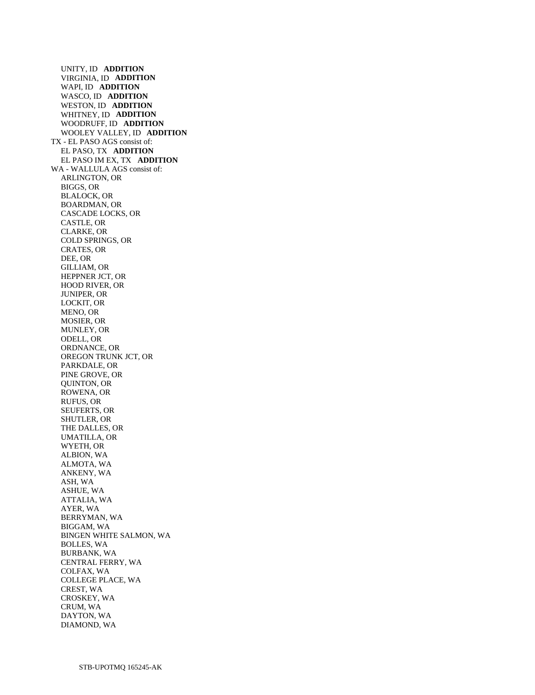UNITY, ID **ADDITION**  VIRGINIA, ID **ADDITION**  WAPI, ID **ADDITION**  WASCO, ID **ADDITION**  WESTON, ID **ADDITION**  WHITNEY, ID **ADDITION**  WOODRUFF, ID **ADDITION**  WOOLEY VALLEY, ID **ADDITION**  TX - EL PASO AGS consist of: EL PASO, TX **ADDITION**  EL PASO IM EX, TX **ADDITION**  WA - WALLULA AGS consist of: ARLINGTON, OR BIGGS, OR BLALOCK, OR BOARDMAN, OR CASCADE LOCKS, OR CASTLE, OR CLARKE, OR COLD SPRINGS, OR CRATES, OR DEE, OR GILLIAM, OR HEPPNER JCT, OR HOOD RIVER, OR JUNIPER, OR LOCKIT, OR MENO, OR MOSIER, OR MUNLEY, OR ODELL, OR ORDNANCE, OR OREGON TRUNK JCT, OR PARKDALE, OR PINE GROVE, OR QUINTON, OR ROWENA, OR RUFUS, OR SEUFERTS, OR SHUTLER, OR THE DALLES, OR UMATILLA, OR WYETH, OR ALBION, WA ALMOTA, WA ANKENY, WA ASH, WA ASHUE, WA ATTALIA, WA AYER, WA BERRYMAN, WA BIGGAM, WA BINGEN WHITE SALMON, WA BOLLES, WA BURBANK, WA CENTRAL FERRY, WA COLFAX, WA COLLEGE PLACE, WA CREST, WA CROSKEY, WA CRUM, WA DAYTON, WA DIAMOND, WA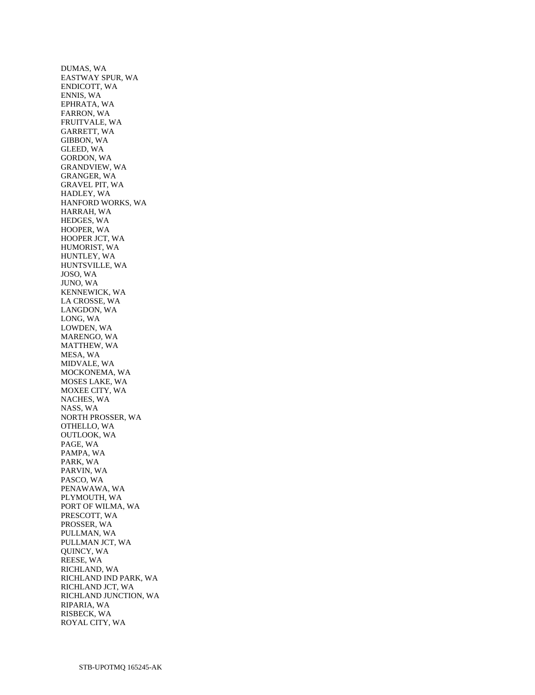DUMAS, WA EASTWAY SPUR, WA ENDICOTT, WA ENNIS, WA EPHRATA, WA FARRON, WA FRUITVALE, WA GARRETT, WA GIBBON, WA GLEED, WA GORDON, WA GRANDVIEW, WA GRANGER, WA GRAVEL PIT, WA HADLEY, WA HANFORD WORKS, WA HARRAH, WA HEDGES, WA HOOPER, WA HOOPER JCT, WA HUMORIST, WA HUNTLEY, WA HUNTSVILLE, WA JOSO, WA JUNO, WA KENNEWICK, WA LA CROSSE, WA LANGDON, WA LONG, WA LOWDEN, WA MARENGO, WA MATTHEW, WA MESA, WA MIDVALE, WA MOCKONEMA, WA MOSES LAKE, WA MOXEE CITY, WA NACHES, WA NASS, WA NORTH PROSSER, WA OTHELLO, WA OUTLOOK, WA PAGE, WA PAMPA, WA PARK, WA PARVIN, WA PASCO, WA PENAWAWA, WA PLYMOUTH, WA PORT OF WILMA, WA PRESCOTT, WA PROSSER, WA PULLMAN, WA PULLMAN JCT, WA QUINCY, WA REESE, WA RICHLAND, WA RICHLAND IND PARK, WA RICHLAND JCT, WA RICHLAND JUNCTION, WA RIPARIA, WA RISBECK, WA ROYAL CITY, WA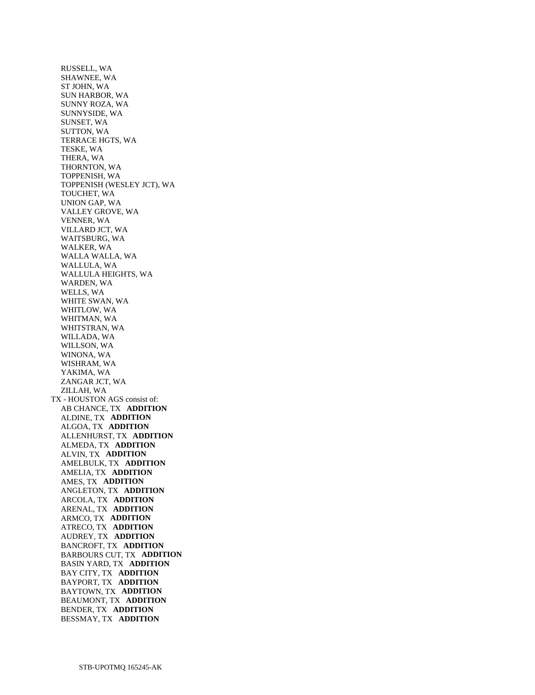RUSSELL, WA SHAWNEE, WA ST JOHN, WA SUN HARBOR, WA SUNNY ROZA, WA SUNNYSIDE, WA SUNSET, WA SUTTON, WA TERRACE HGTS, WA TESKE, WA THERA, WA THORNTON, WA TOPPENISH, WA TOPPENISH (WESLEY JCT), WA TOUCHET, WA UNION GAP, WA VALLEY GROVE, WA VENNER, WA VILLARD JCT, WA WAITSBURG, WA WALKER, WA WALLA WALLA, WA WALLULA, WA WALLULA HEIGHTS, WA WARDEN, WA WELLS, WA WHITE SWAN, WA WHITLOW, WA WHITMAN, WA WHITSTRAN, WA WILLADA, WA WILLSON, WA WINONA, WA WISHRAM, WA YAKIMA, WA ZANGAR JCT, WA ZILLAH, WA TX - HOUSTON AGS consist of: AB CHANCE, TX **ADDITION**  ALDINE, TX **ADDITION**  ALGOA, TX **ADDITION**  ALLENHURST, TX **ADDITION**  ALMEDA, TX **ADDITION**  ALVIN, TX **ADDITION**  AMELBULK, TX **ADDITION**  AMELIA, TX **ADDITION**  AMES, TX **ADDITION**  ANGLETON, TX **ADDITION**  ARCOLA, TX **ADDITION**  ARENAL, TX **ADDITION**  ARMCO, TX **ADDITION**  ATRECO, TX **ADDITION**  AUDREY, TX **ADDITION**  BANCROFT, TX **ADDITION**  BARBOURS CUT, TX **ADDITION**  BASIN YARD, TX **ADDITION**  BAY CITY, TX **ADDITION**  BAYPORT, TX **ADDITION**  BAYTOWN, TX **ADDITION**  BEAUMONT, TX **ADDITION**  BENDER, TX **ADDITION**  BESSMAY, TX **ADDITION**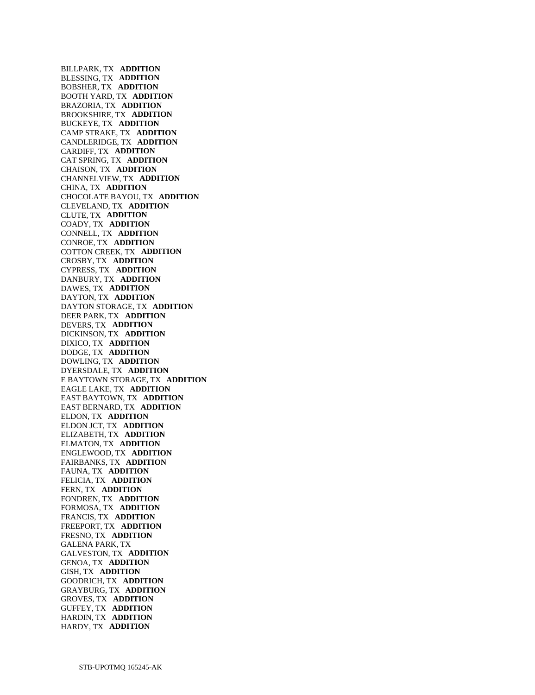BILLPARK, TX **ADDITION**  BLESSING, TX **ADDITION**  BOBSHER, TX **ADDITION**  BOOTH YARD, TX **ADDITION**  BRAZORIA, TX **ADDITION**  BROOKSHIRE, TX **ADDITION**  BUCKEYE, TX **ADDITION**  CAMP STRAKE, TX **ADDITION**  CANDLERIDGE, TX **ADDITION**  CARDIFF, TX **ADDITION**  CAT SPRING, TX **ADDITION**  CHAISON, TX **ADDITION**  CHANNELVIEW, TX **ADDITION**  CHINA, TX **ADDITION**  CHOCOLATE BAYOU, TX **ADDITION**  CLEVELAND, TX **ADDITION**  CLUTE, TX **ADDITION**  COADY, TX **ADDITION**  CONNELL, TX **ADDITION**  CONROE, TX **ADDITION**  COTTON CREEK, TX **ADDITION**  CROSBY, TX **ADDITION**  CYPRESS, TX **ADDITION**  DANBURY, TX **ADDITION**  DAWES, TX **ADDITION**  DAYTON, TX **ADDITION**  DAYTON STORAGE, TX **ADDITION**  DEER PARK, TX **ADDITION**  DEVERS, TX **ADDITION**  DICKINSON, TX **ADDITION**  DIXICO, TX **ADDITION**  DODGE, TX **ADDITION**  DOWLING, TX **ADDITION**  DYERSDALE, TX **ADDITION**  E BAYTOWN STORAGE, TX **ADDITION**  EAGLE LAKE, TX **ADDITION**  EAST BAYTOWN, TX **ADDITION**  EAST BERNARD, TX **ADDITION**  ELDON, TX **ADDITION**  ELDON JCT, TX **ADDITION**  ELIZABETH, TX **ADDITION**  ELMATON, TX **ADDITION**  ENGLEWOOD, TX **ADDITION**  FAIRBANKS, TX **ADDITION**  FAUNA, TX **ADDITION**  FELICIA, TX **ADDITION**  FERN, TX **ADDITION**  FONDREN, TX **ADDITION**  FORMOSA, TX **ADDITION**  FRANCIS, TX **ADDITION**  FREEPORT, TX **ADDITION**  FRESNO, TX **ADDITION**  GALENA PARK, TX GALVESTON, TX **ADDITION**  GENOA, TX **ADDITION**  GISH, TX **ADDITION**  GOODRICH, TX **ADDITION**  GRAYBURG, TX **ADDITION**  GROVES, TX **ADDITION**  GUFFEY, TX **ADDITION**  HARDIN, TX **ADDITION**  HARDY, TX **ADDITION**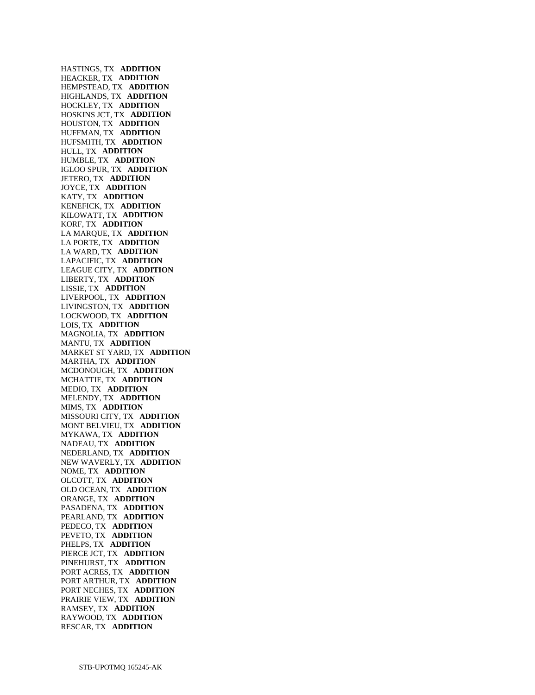HASTINGS, TX **ADDITION**  HEACKER, TX **ADDITION**  HEMPSTEAD, TX **ADDITION**  HIGHLANDS, TX **ADDITION**  HOCKLEY, TX **ADDITION**  HOSKINS JCT, TX **ADDITION**  HOUSTON, TX **ADDITION**  HUFFMAN, TX **ADDITION**  HUFSMITH, TX **ADDITION**  HULL, TX **ADDITION**  HUMBLE, TX **ADDITION**  IGLOO SPUR, TX **ADDITION**  JETERO, TX **ADDITION**  JOYCE, TX **ADDITION**  KATY, TX **ADDITION**  KENEFICK, TX **ADDITION**  KILOWATT, TX **ADDITION**  KORF, TX **ADDITION**  LA MARQUE, TX **ADDITION**  LA PORTE, TX **ADDITION**  LA WARD, TX **ADDITION**  LAPACIFIC, TX **ADDITION**  LEAGUE CITY, TX **ADDITION**  LIBERTY, TX **ADDITION**  LISSIE, TX **ADDITION**  LIVERPOOL, TX **ADDITION**  LIVINGSTON, TX **ADDITION**  LOCKWOOD, TX **ADDITION**  LOIS, TX **ADDITION**  MAGNOLIA, TX **ADDITION**  MANTU, TX **ADDITION**  MARKET ST YARD, TX **ADDITION**  MARTHA, TX **ADDITION**  MCDONOUGH, TX **ADDITION**  MCHATTIE, TX **ADDITION**  MEDIO, TX **ADDITION**  MELENDY, TX **ADDITION**  MIMS, TX **ADDITION**  MISSOURI CITY, TX **ADDITION**  MONT BELVIEU, TX **ADDITION**  MYKAWA, TX **ADDITION**  NADEAU, TX **ADDITION**  NEDERLAND, TX **ADDITION**  NEW WAVERLY, TX **ADDITION**  NOME, TX **ADDITION**  OLCOTT, TX **ADDITION**  OLD OCEAN, TX **ADDITION**  ORANGE, TX **ADDITION**  PASADENA, TX **ADDITION**  PEARLAND, TX **ADDITION**  PEDECO, TX **ADDITION**  PEVETO, TX **ADDITION**  PHELPS, TX **ADDITION**  PIERCE JCT, TX **ADDITION**  PINEHURST, TX **ADDITION**  PORT ACRES, TX **ADDITION**  PORT ARTHUR, TX **ADDITION**  PORT NECHES, TX **ADDITION**  PRAIRIE VIEW, TX **ADDITION**  RAMSEY, TX **ADDITION**  RAYWOOD, TX **ADDITION**  RESCAR, TX **ADDITION**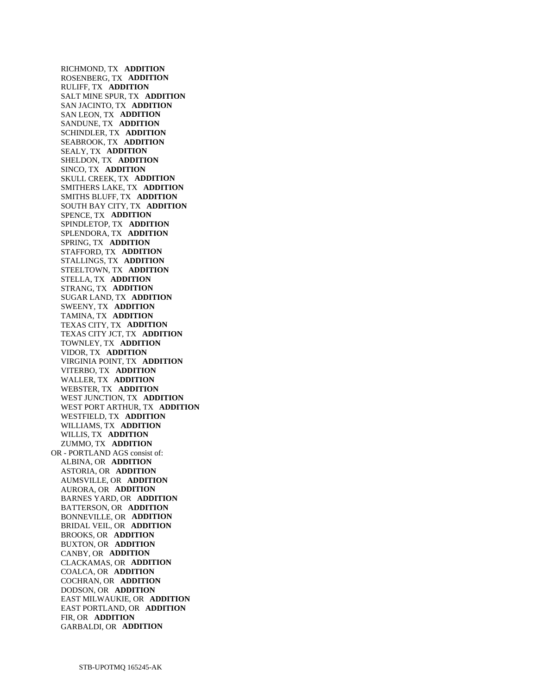RICHMOND, TX **ADDITION**  ROSENBERG, TX **ADDITION**  RULIFF, TX **ADDITION**  SALT MINE SPUR, TX **ADDITION**  SAN JACINTO, TX **ADDITION**  SAN LEON, TX **ADDITION**  SANDUNE, TX **ADDITION**  SCHINDLER, TX **ADDITION**  SEABROOK, TX **ADDITION**  SEALY, TX **ADDITION**  SHELDON, TX **ADDITION**  SINCO, TX **ADDITION**  SKULL CREEK, TX **ADDITION**  SMITHERS LAKE, TX **ADDITION**  SMITHS BLUFF, TX **ADDITION**  SOUTH BAY CITY, TX **ADDITION**  SPENCE, TX **ADDITION**  SPINDLETOP, TX **ADDITION**  SPLENDORA, TX **ADDITION**  SPRING, TX **ADDITION**  STAFFORD, TX **ADDITION**  STALLINGS, TX **ADDITION**  STEELTOWN, TX **ADDITION**  STELLA, TX **ADDITION**  STRANG, TX **ADDITION**  SUGAR LAND, TX **ADDITION**  SWEENY, TX **ADDITION**  TAMINA, TX **ADDITION**  TEXAS CITY, TX **ADDITION**  TEXAS CITY JCT, TX **ADDITION**  TOWNLEY, TX **ADDITION**  VIDOR, TX **ADDITION**  VIRGINIA POINT, TX **ADDITION**  VITERBO, TX **ADDITION**  WALLER, TX **ADDITION**  WEBSTER, TX **ADDITION**  WEST JUNCTION, TX **ADDITION**  WEST PORT ARTHUR, TX **ADDITION**  WESTFIELD, TX **ADDITION**  WILLIAMS, TX **ADDITION**  WILLIS, TX **ADDITION**  ZUMMO, TX **ADDITION**  OR - PORTLAND AGS consist of: ALBINA, OR **ADDITION**  ASTORIA, OR **ADDITION**  AUMSVILLE, OR **ADDITION**  AURORA, OR **ADDITION**  BARNES YARD, OR **ADDITION**  BATTERSON, OR **ADDITION**  BONNEVILLE, OR **ADDITION**  BRIDAL VEIL, OR **ADDITION**  BROOKS, OR **ADDITION**  BUXTON, OR **ADDITION**  CANBY, OR **ADDITION**  CLACKAMAS, OR **ADDITION**  COALCA, OR **ADDITION**  COCHRAN, OR **ADDITION**  DODSON, OR **ADDITION**  EAST MILWAUKIE, OR **ADDITION**  EAST PORTLAND, OR **ADDITION**  FIR, OR **ADDITION**  GARBALDI, OR **ADDITION**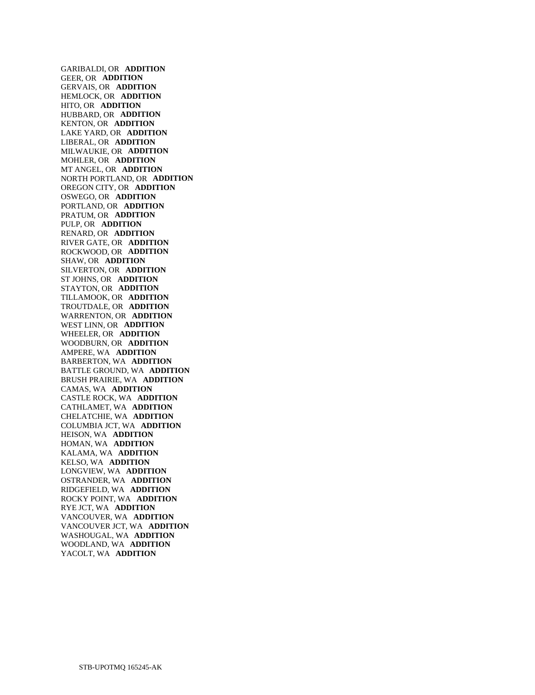GARIBALDI, OR **ADDITION**  GEER, OR **ADDITION**  GERVAIS, OR **ADDITION**  HEMLOCK, OR **ADDITION**  HITO, OR **ADDITION**  HUBBARD, OR **ADDITION**  KENTON, OR **ADDITION**  LAKE YARD, OR **ADDITION**  LIBERAL, OR **ADDITION**  MILWAUKIE, OR **ADDITION**  MOHLER, OR **ADDITION**  MT ANGEL, OR **ADDITION**  NORTH PORTLAND, OR **ADDITION**  OREGON CITY, OR **ADDITION**  OSWEGO, OR **ADDITION**  PORTLAND, OR **ADDITION**  PRATUM, OR **ADDITION**  PULP, OR **ADDITION**  RENARD, OR **ADDITION**  RIVER GATE, OR **ADDITION**  ROCKWOOD, OR **ADDITION**  SHAW, OR **ADDITION**  SILVERTON, OR **ADDITION**  ST JOHNS, OR **ADDITION**  STAYTON, OR **ADDITION**  TILLAMOOK, OR **ADDITION**  TROUTDALE, OR **ADDITION**  WARRENTON, OR **ADDITION**  WEST LINN, OR **ADDITION**  WHEELER, OR **ADDITION**  WOODBURN, OR **ADDITION**  AMPERE, WA **ADDITION**  BARBERTON, WA **ADDITION**  BATTLE GROUND, WA **ADDITION**  BRUSH PRAIRIE, WA **ADDITION**  CAMAS, WA **ADDITION**  CASTLE ROCK, WA **ADDITION**  CATHLAMET, WA **ADDITION**  CHELATCHIE, WA **ADDITION**  COLUMBIA JCT, WA **ADDITION**  HEISON, WA **ADDITION**  HOMAN, WA **ADDITION**  KALAMA, WA **ADDITION**  KELSO, WA **ADDITION**  LONGVIEW, WA **ADDITION**  OSTRANDER, WA **ADDITION**  RIDGEFIELD, WA **ADDITION**  ROCKY POINT, WA **ADDITION**  RYE JCT, WA **ADDITION**  VANCOUVER, WA **ADDITION**  VANCOUVER JCT, WA **ADDITION**  WASHOUGAL, WA **ADDITION**  WOODLAND, WA **ADDITION**  YACOLT, WA **ADDITION**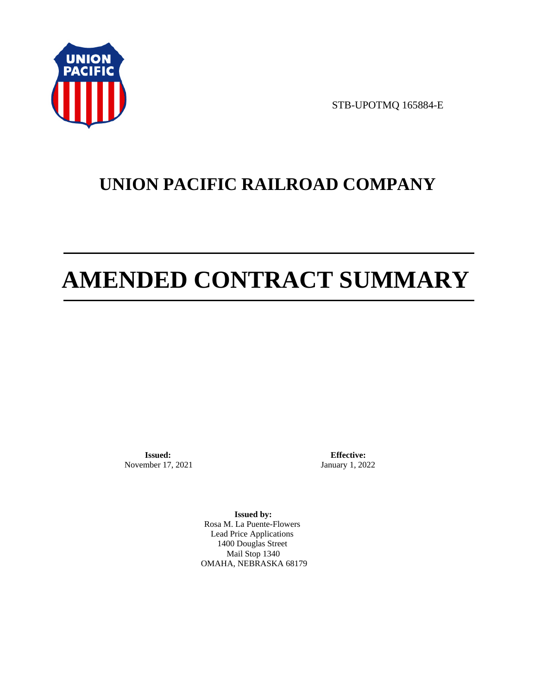

STB-UPOTMQ 165884-E

# **UNION PACIFIC RAILROAD COMPANY**

# **AMENDED CONTRACT SUMMARY**

**Issued:**  November 17, 2021

**Effective:** January 1, 2022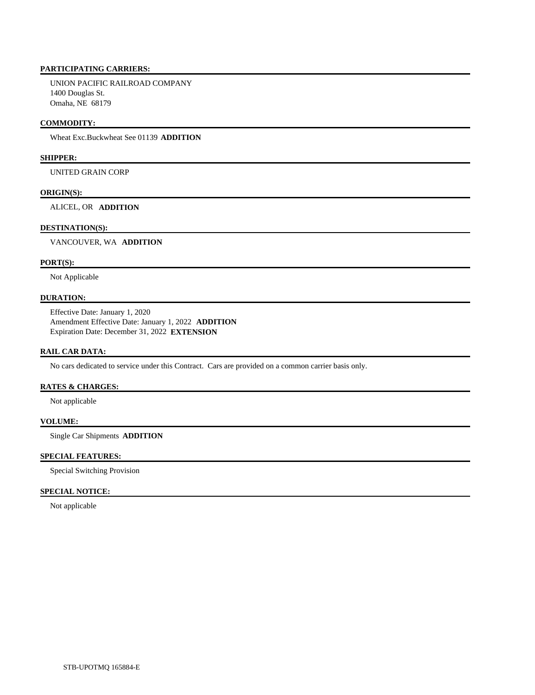UNION PACIFIC RAILROAD COMPANY 1400 Douglas St. Omaha, NE 68179

#### **COMMODITY:**

Wheat Exc.Buckwheat See 01139 **ADDITION** 

# **SHIPPER:**

UNITED GRAIN CORP

#### **ORIGIN(S):**

ALICEL, OR **ADDITION** 

#### **DESTINATION(S):**

VANCOUVER, WA **ADDITION** 

## **PORT(S):**

Not Applicable

## **DURATION:**

 Effective Date: January 1, 2020 Amendment Effective Date: January 1, 2022 **ADDITION**  Expiration Date: December 31, 2022 **EXTENSION** 

#### **RAIL CAR DATA:**

No cars dedicated to service under this Contract. Cars are provided on a common carrier basis only.

#### **RATES & CHARGES:**

Not applicable

#### **VOLUME:**

Single Car Shipments **ADDITION** 

#### **SPECIAL FEATURES:**

Special Switching Provision

#### **SPECIAL NOTICE:**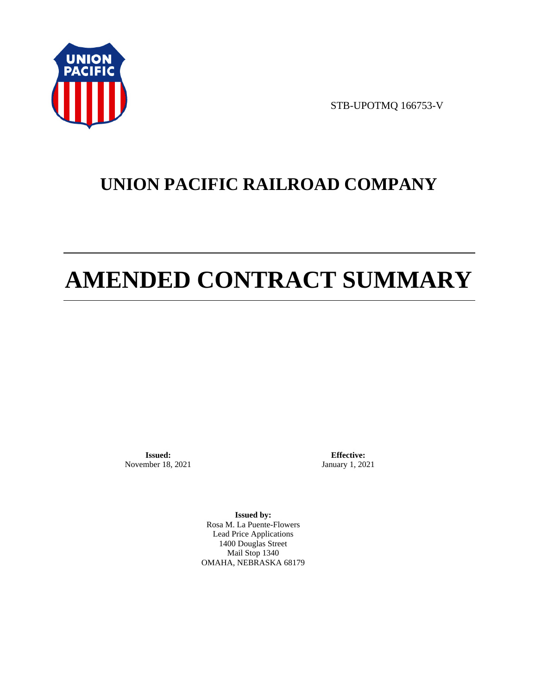

STB-UPOTMQ 166753-V

# **UNION PACIFIC RAILROAD COMPANY**

# **AMENDED CONTRACT SUMMARY**

**Issued:**  November 18, 2021

**Effective:** January 1, 2021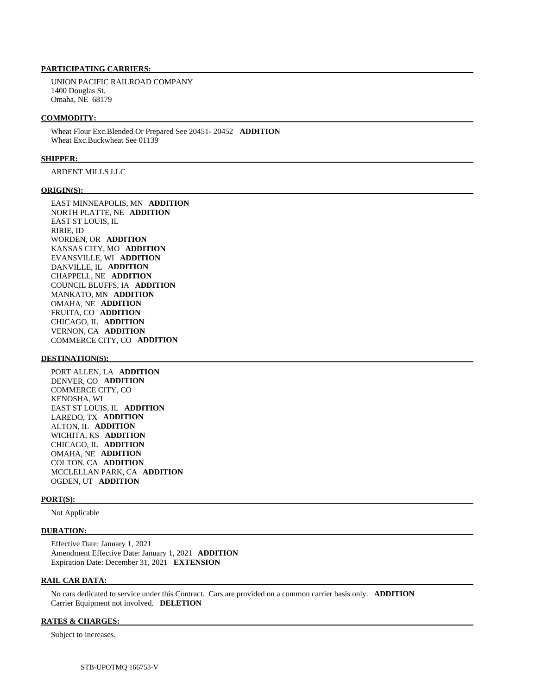UNION PACIFIC RAILROAD COMPANY 1400 Douglas St. Omaha, NE 68179

#### **COMMODITY:**

 Wheat Flour Exc.Blended Or Prepared See 20451- 20452 **ADDITION**  Wheat Exc.Buckwheat See 01139

#### **SHIPPER:**

ARDENT MILLS LLC

#### **ORIGIN(S):**

 EAST MINNEAPOLIS, MN **ADDITION**  NORTH PLATTE, NE **ADDITION**  EAST ST LOUIS, IL RIRIE, ID WORDEN, OR **ADDITION**  KANSAS CITY, MO **ADDITION**  EVANSVILLE, WI **ADDITION**  DANVILLE, IL **ADDITION**  CHAPPELL, NE **ADDITION**  COUNCIL BLUFFS, IA **ADDITION**  MANKATO, MN **ADDITION**  OMAHA, NE **ADDITION**  FRUITA, CO **ADDITION**  CHICAGO, IL **ADDITION**  VERNON, CA **ADDITION**  COMMERCE CITY, CO **ADDITION** 

#### **DESTINATION(S):**

 PORT ALLEN, LA **ADDITION**  DENVER, CO **ADDITION**  COMMERCE CITY, CO KENOSHA, WI EAST ST LOUIS, IL **ADDITION**  LAREDO, TX **ADDITION**  ALTON, IL **ADDITION**  WICHITA, KS **ADDITION**  CHICAGO, IL **ADDITION**  OMAHA, NE **ADDITION**  COLTON, CA **ADDITION**  MCCLELLAN PARK, CA **ADDITION**  OGDEN, UT **ADDITION** 

#### **PORT(S):**

Not Applicable

#### **DURATION:**

 Effective Date: January 1, 2021 Amendment Effective Date: January 1, 2021 **ADDITION**  Expiration Date: December 31, 2021 **EXTENSION** 

#### **RAIL CAR DATA:**

 No cars dedicated to service under this Contract. Cars are provided on a common carrier basis only. **ADDITION**  Carrier Equipment not involved. **DELETION** 

#### **RATES & CHARGES:**

Subject to increases.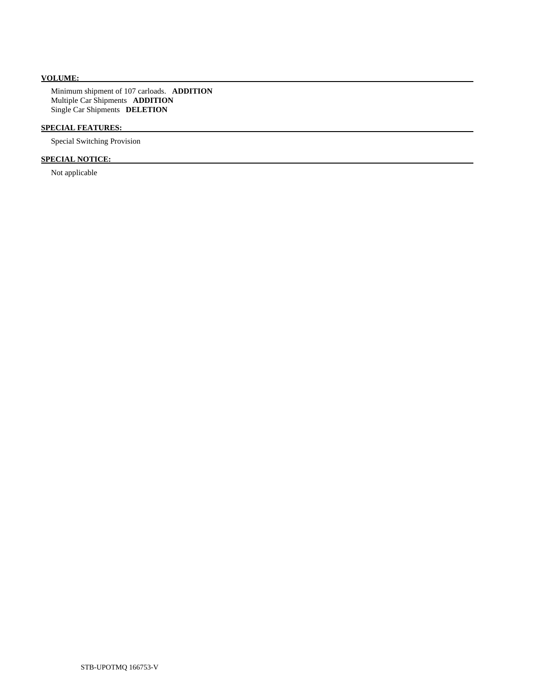# **VOLUME:**

 Minimum shipment of 107 carloads. **ADDITION**  Multiple Car Shipments **ADDITION**  Single Car Shipments **DELETION** 

## **SPECIAL FEATURES:**

Special Switching Provision

# **SPECIAL NOTICE:**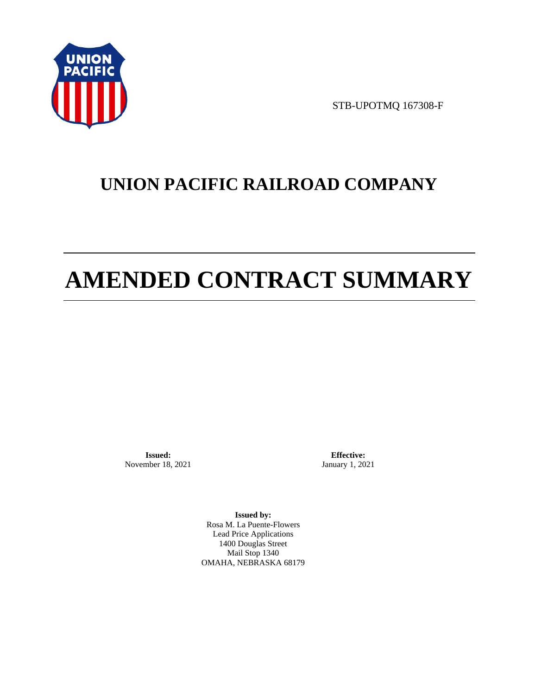

STB-UPOTMQ 167308-F

# **UNION PACIFIC RAILROAD COMPANY**

# **AMENDED CONTRACT SUMMARY**

**Issued:**  November 18, 2021

**Effective:** January 1, 2021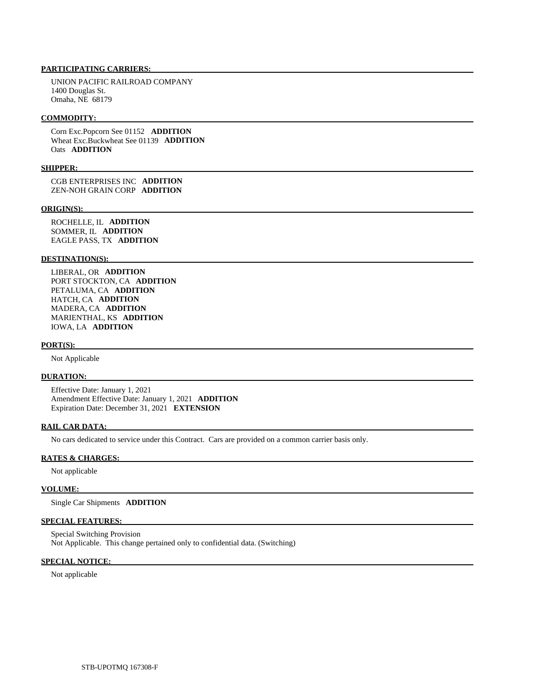UNION PACIFIC RAILROAD COMPANY 1400 Douglas St. Omaha, NE 68179

#### **COMMODITY:**

 Corn Exc.Popcorn See 01152 **ADDITION**  Wheat Exc.Buckwheat See 01139 **ADDITION**  Oats **ADDITION** 

#### **SHIPPER:**

 CGB ENTERPRISES INC **ADDITION**  ZEN-NOH GRAIN CORP **ADDITION** 

#### **ORIGIN(S):**

 ROCHELLE, IL **ADDITION**  SOMMER, IL **ADDITION**  EAGLE PASS, TX **ADDITION** 

#### **DESTINATION(S):**

 LIBERAL, OR **ADDITION**  PORT STOCKTON, CA **ADDITION**  PETALUMA, CA **ADDITION**  HATCH, CA **ADDITION**  MADERA, CA **ADDITION**  MARIENTHAL, KS **ADDITION**  IOWA, LA **ADDITION** 

#### **PORT(S):**

Not Applicable

#### **DURATION:**

 Effective Date: January 1, 2021 Amendment Effective Date: January 1, 2021 **ADDITION**  Expiration Date: December 31, 2021 **EXTENSION** 

#### **RAIL CAR DATA:**

No cars dedicated to service under this Contract. Cars are provided on a common carrier basis only.

#### **RATES & CHARGES:**

Not applicable

### **VOLUME:**

Single Car Shipments **ADDITION** 

### **SPECIAL FEATURES:**

 Special Switching Provision Not Applicable. This change pertained only to confidential data. (Switching)

#### **SPECIAL NOTICE:**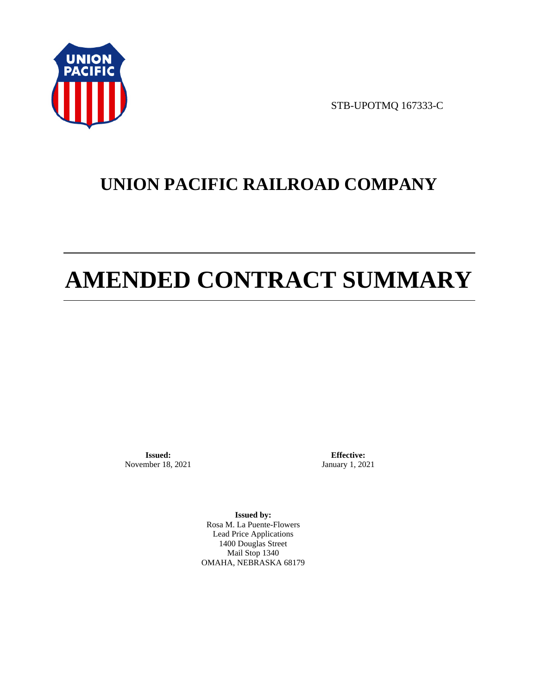

STB-UPOTMQ 167333-C

# **UNION PACIFIC RAILROAD COMPANY**

# **AMENDED CONTRACT SUMMARY**

**Issued:**  November 18, 2021

**Effective:** January 1, 2021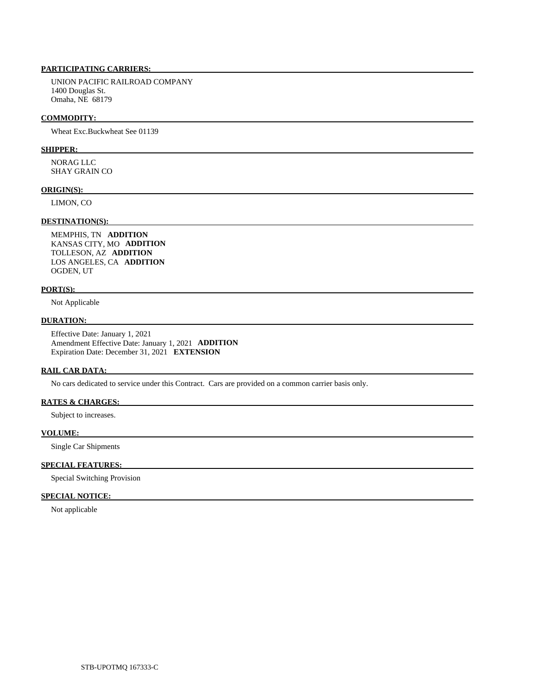UNION PACIFIC RAILROAD COMPANY 1400 Douglas St. Omaha, NE 68179

#### **COMMODITY:**

Wheat Exc.Buckwheat See 01139

#### **SHIPPER:**

 NORAG LLC SHAY GRAIN CO

#### **ORIGIN(S):**

LIMON, CO

# **DESTINATION(S):**

 MEMPHIS, TN **ADDITION**  KANSAS CITY, MO **ADDITION**  TOLLESON, AZ **ADDITION**  LOS ANGELES, CA **ADDITION**  OGDEN, UT

#### **PORT(S):**

Not Applicable

### **DURATION:**

 Effective Date: January 1, 2021 Amendment Effective Date: January 1, 2021 **ADDITION**  Expiration Date: December 31, 2021 **EXTENSION** 

#### **RAIL CAR DATA:**

No cars dedicated to service under this Contract. Cars are provided on a common carrier basis only.

# **RATES & CHARGES:**

Subject to increases.

### **VOLUME:**

Single Car Shipments

### **SPECIAL FEATURES:**

Special Switching Provision

### **SPECIAL NOTICE:**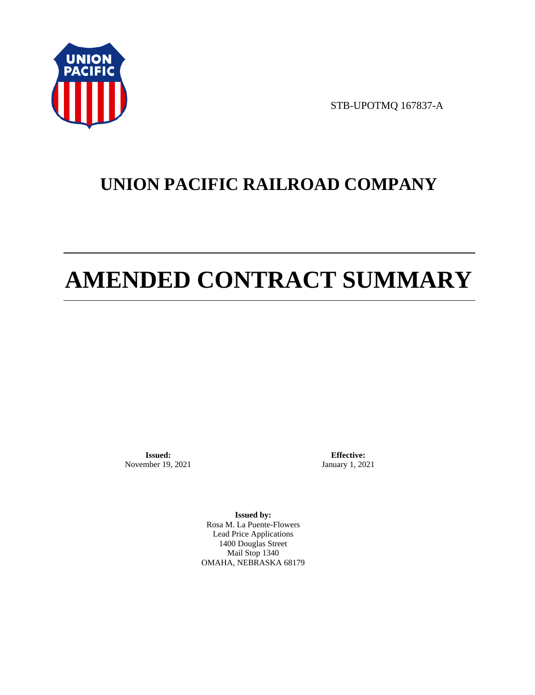

STB-UPOTMQ 167837-A

# **UNION PACIFIC RAILROAD COMPANY**

# **AMENDED CONTRACT SUMMARY**

**Issued:**  November 19, 2021

**Effective:** January 1, 2021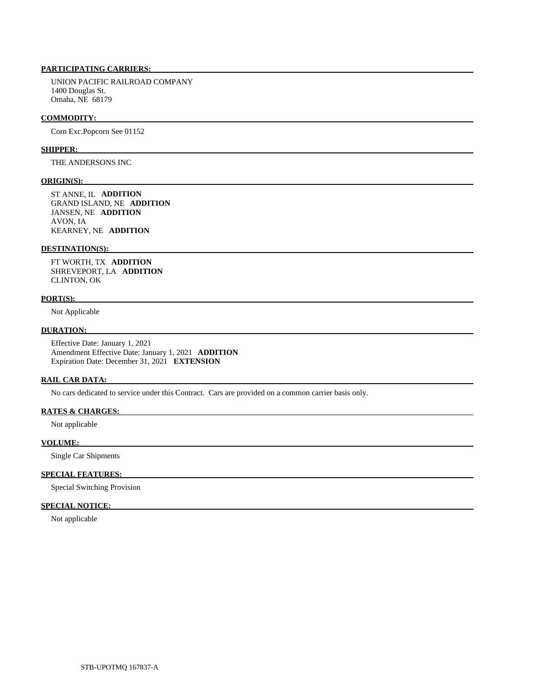UNION PACIFIC RAILROAD COMPANY 1400 Douglas St. Omaha, NE 68179

#### **COMMODITY:**

Corn Exc.Popcorn See 01152

#### **SHIPPER:**

THE ANDERSONS INC

#### **ORIGIN(S):**

 ST ANNE, IL **ADDITION**  GRAND ISLAND, NE **ADDITION**  JANSEN, NE **ADDITION**  AVON, IA KEARNEY, NE **ADDITION** 

#### **DESTINATION(S):**

 FT WORTH, TX **ADDITION**  SHREVEPORT, LA **ADDITION**  CLINTON, OK

#### **PORT(S):**

Not Applicable

### **DURATION:**

 Effective Date: January 1, 2021 Amendment Effective Date: January 1, 2021 **ADDITION**  Expiration Date: December 31, 2021 **EXTENSION** 

#### **RAIL CAR DATA:**

No cars dedicated to service under this Contract. Cars are provided on a common carrier basis only.

#### **RATES & CHARGES:**

Not applicable

#### **VOLUME:**

Single Car Shipments

# **SPECIAL FEATURES:**

Special Switching Provision

### **SPECIAL NOTICE:**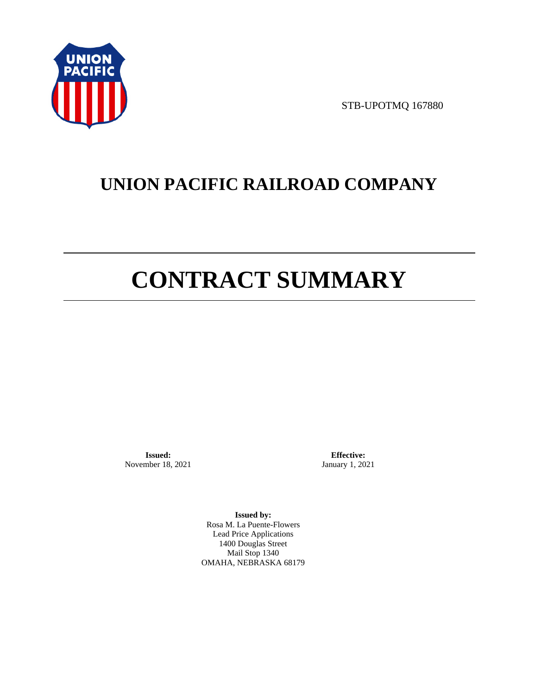

STB-UPOTMQ 167880

# **UNION PACIFIC RAILROAD COMPANY**

# **CONTRACT SUMMARY**

**Issued:**  November 18, 2021

**Effective:** January 1, 2021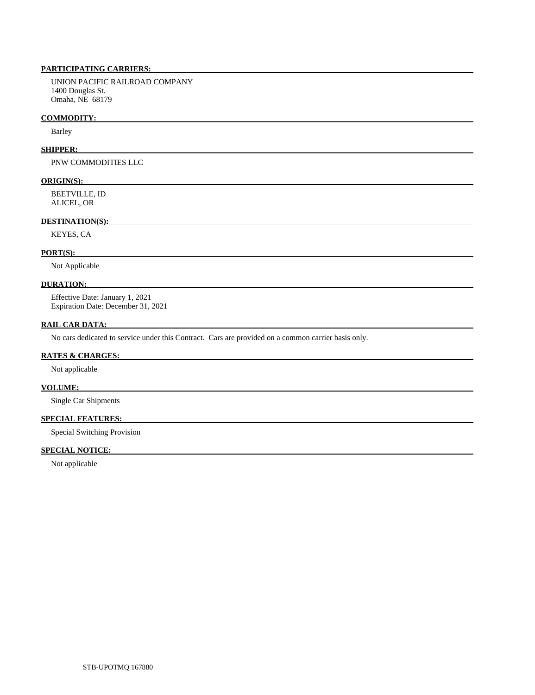UNION PACIFIC RAILROAD COMPANY 1400 Douglas St. Omaha, NE 68179

#### **COMMODITY:**

Barley

#### **SHIPPER:**

PNW COMMODITIES LLC

#### **ORIGIN(S):**

 BEETVILLE, ID ALICEL, OR

### **DESTINATION(S):**

KEYES, CA

#### **PORT(S):**

Not Applicable

### **DURATION:**

 Effective Date: January 1, 2021 Expiration Date: December 31, 2021

#### **RAIL CAR DATA:**

No cars dedicated to service under this Contract. Cars are provided on a common carrier basis only.

### **RATES & CHARGES:**

Not applicable

## **VOLUME:**

Single Car Shipments

# **SPECIAL FEATURES:**

Special Switching Provision

## **SPECIAL NOTICE:**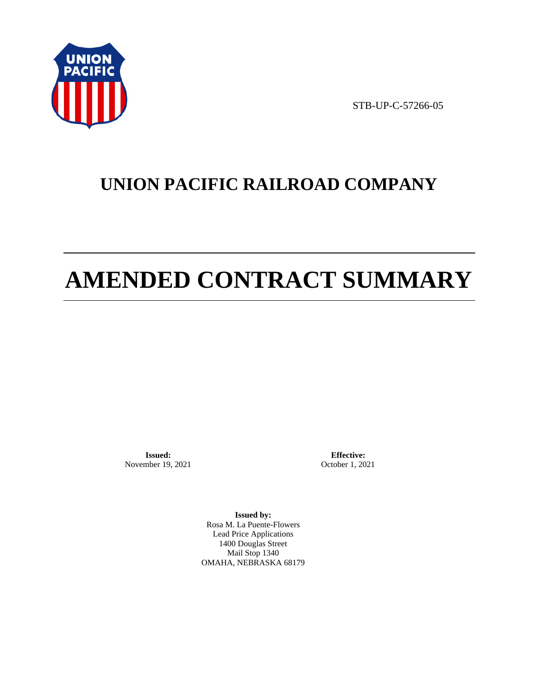

STB-UP-C-57266-05

# **UNION PACIFIC RAILROAD COMPANY**

# **AMENDED CONTRACT SUMMARY**

**Issued:**  November 19, 2021

**Effective:** October 1, 2021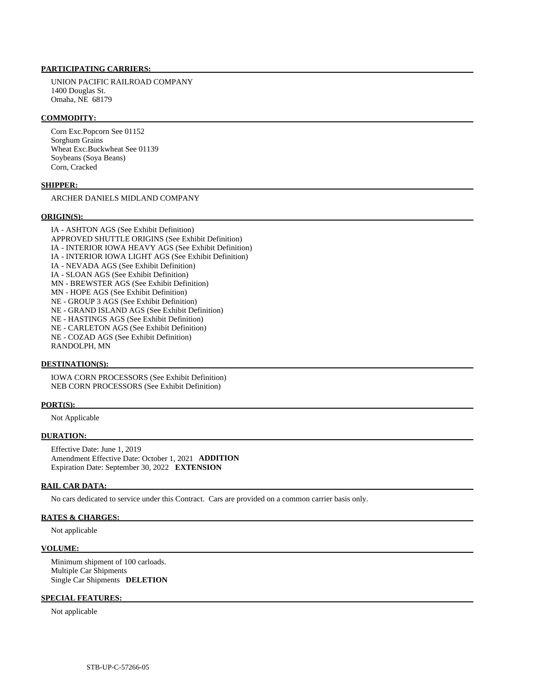UNION PACIFIC RAILROAD COMPANY 1400 Douglas St. Omaha, NE 68179

#### **COMMODITY:**

 Corn Exc.Popcorn See 01152 Sorghum Grains Wheat Exc.Buckwheat See 01139 Soybeans (Soya Beans) Corn, Cracked

#### **SHIPPER:**

ARCHER DANIELS MIDLAND COMPANY

#### **ORIGIN(S):**

 IA - ASHTON AGS (See Exhibit Definition) APPROVED SHUTTLE ORIGINS (See Exhibit Definition) IA - INTERIOR IOWA HEAVY AGS (See Exhibit Definition) IA - INTERIOR IOWA LIGHT AGS (See Exhibit Definition) IA - NEVADA AGS (See Exhibit Definition) IA - SLOAN AGS (See Exhibit Definition) MN - BREWSTER AGS (See Exhibit Definition) MN - HOPE AGS (See Exhibit Definition) NE - GROUP 3 AGS (See Exhibit Definition) NE - GRAND ISLAND AGS (See Exhibit Definition) NE - HASTINGS AGS (See Exhibit Definition) NE - CARLETON AGS (See Exhibit Definition) NE - COZAD AGS (See Exhibit Definition) RANDOLPH, MN

### **DESTINATION(S):**

 IOWA CORN PROCESSORS (See Exhibit Definition) NEB CORN PROCESSORS (See Exhibit Definition)

#### **PORT(S):**

Not Applicable

#### **DURATION:**

 Effective Date: June 1, 2019 Amendment Effective Date: October 1, 2021 **ADDITION**  Expiration Date: September 30, 2022 **EXTENSION** 

#### **RAIL CAR DATA:**

No cars dedicated to service under this Contract. Cars are provided on a common carrier basis only.

### **RATES & CHARGES:**

Not applicable

#### **VOLUME:**

 Minimum shipment of 100 carloads. Multiple Car Shipments Single Car Shipments **DELETION** 

### **SPECIAL FEATURES:**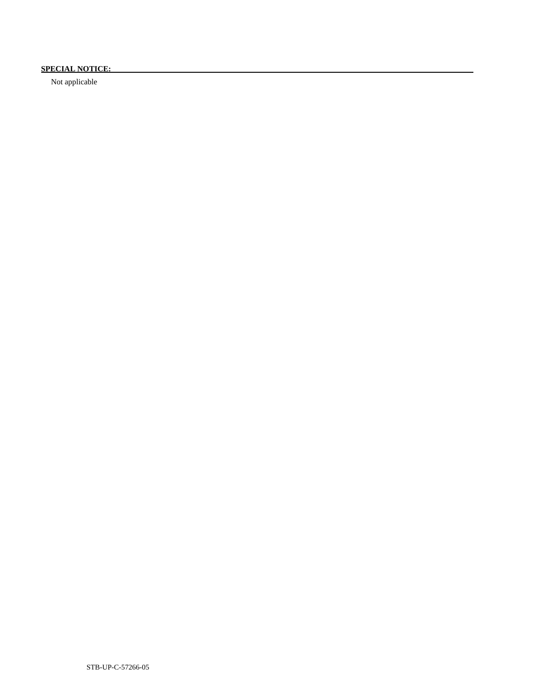# **SPECIAL NOTICE:**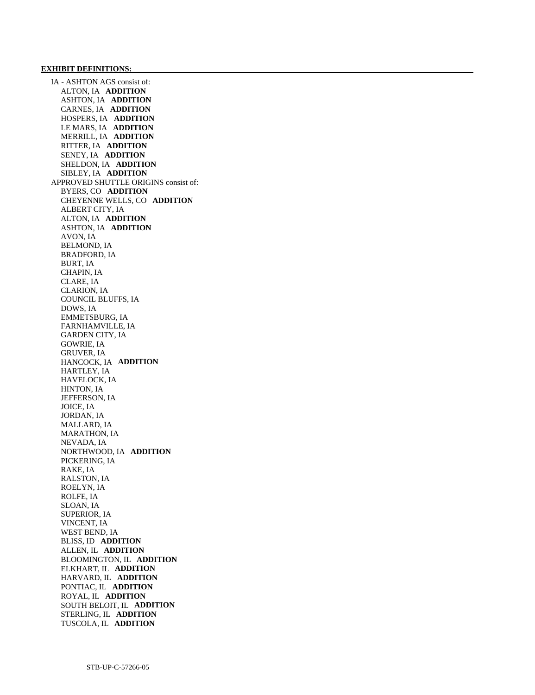IA - ASHTON AGS consist of: ALTON, IA **ADDITION**  ASHTON, IA **ADDITION**  CARNES, IA **ADDITION**  HOSPERS, IA **ADDITION**  LE MARS, IA **ADDITION**  MERRILL, IA **ADDITION**  RITTER, IA **ADDITION**  SENEY, IA **ADDITION**  SHELDON, IA **ADDITION**  SIBLEY, IA **ADDITION**  APPROVED SHUTTLE ORIGINS consist of: BYERS, CO **ADDITION**  CHEYENNE WELLS, CO **ADDITION**  ALBERT CITY, IA ALTON, IA **ADDITION**  ASHTON, IA **ADDITION**  AVON, IA BELMOND, IA BRADFORD, IA BURT, IA CHAPIN, IA CLARE, IA CLARION, IA COUNCIL BLUFFS, IA DOWS, IA EMMETSBURG, IA FARNHAMVILLE, IA GARDEN CITY, IA GOWRIE, IA GRUVER, IA HANCOCK, IA **ADDITION**  HARTLEY, IA HAVELOCK, IA HINTON, IA JEFFERSON, IA JOICE, IA JORDAN, IA MALLARD, IA MARATHON, IA NEVADA, IA NORTHWOOD, IA **ADDITION**  PICKERING, IA RAKE, IA RALSTON, IA ROELYN, IA ROLFE, IA SLOAN, IA SUPERIOR, IA VINCENT, IA WEST BEND, IA BLISS, ID **ADDITION**  ALLEN, IL **ADDITION**  BLOOMINGTON, IL **ADDITION**  ELKHART, IL **ADDITION**  HARVARD, IL **ADDITION**  PONTIAC, IL **ADDITION**  ROYAL, IL **ADDITION**  SOUTH BELOIT, IL **ADDITION**  STERLING, IL **ADDITION**  TUSCOLA, IL **ADDITION**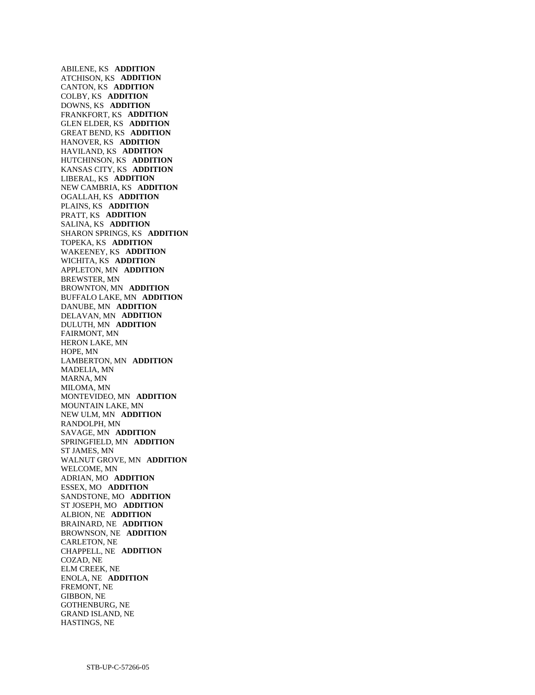ABILENE, KS **ADDITION**  ATCHISON, KS **ADDITION**  CANTON, KS **ADDITION**  COLBY, KS **ADDITION**  DOWNS, KS **ADDITION**  FRANKFORT, KS **ADDITION**  GLEN ELDER, KS **ADDITION**  GREAT BEND, KS **ADDITION**  HANOVER, KS **ADDITION**  HAVILAND, KS **ADDITION**  HUTCHINSON, KS **ADDITION**  KANSAS CITY, KS **ADDITION**  LIBERAL, KS **ADDITION**  NEW CAMBRIA, KS **ADDITION**  OGALLAH, KS **ADDITION**  PLAINS, KS **ADDITION**  PRATT, KS **ADDITION**  SALINA, KS **ADDITION**  SHARON SPRINGS, KS **ADDITION**  TOPEKA, KS **ADDITION**  WAKEENEY, KS **ADDITION**  WICHITA, KS **ADDITION**  APPLETON, MN **ADDITION**  BREWSTER, MN BROWNTON, MN **ADDITION**  BUFFALO LAKE, MN **ADDITION**  DANUBE, MN **ADDITION**  DELAVAN, MN **ADDITION**  DULUTH, MN **ADDITION**  FAIRMONT, MN HERON LAKE, MN HOPE, MN LAMBERTON, MN **ADDITION**  MADELIA, MN MARNA, MN MILOMA, MN MONTEVIDEO, MN **ADDITION**  MOUNTAIN LAKE, MN NEW ULM, MN **ADDITION**  RANDOLPH, MN SAVAGE, MN **ADDITION**  SPRINGFIELD, MN **ADDITION**  ST JAMES, MN WALNUT GROVE, MN **ADDITION**  WELCOME, MN ADRIAN, MO **ADDITION**  ESSEX, MO **ADDITION**  SANDSTONE, MO **ADDITION**  ST JOSEPH, MO **ADDITION**  ALBION, NE **ADDITION**  BRAINARD, NE **ADDITION**  BROWNSON, NE **ADDITION**  CARLETON, NE CHAPPELL, NE **ADDITION**  COZAD, NE ELM CREEK, NE ENOLA, NE **ADDITION**  FREMONT, NE GIBBON, NE GOTHENBURG, NE GRAND ISLAND, NE HASTINGS, NE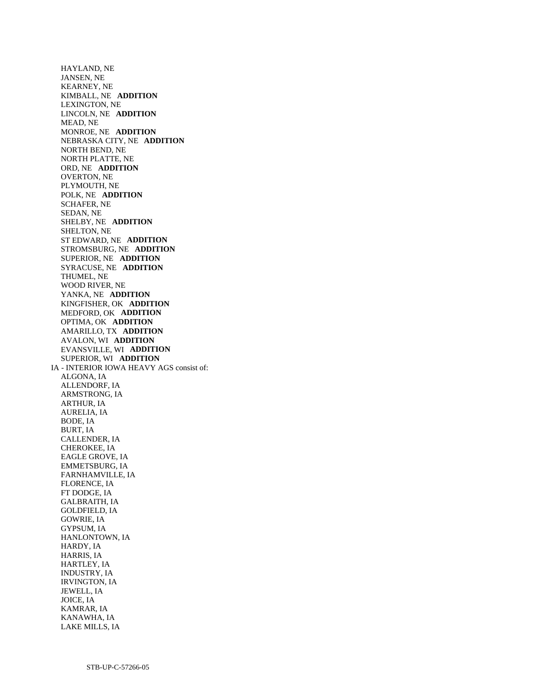HAYLAND, NE JANSEN, NE KEARNEY, NE KIMBALL, NE **ADDITION**  LEXINGTON, NE LINCOLN, NE **ADDITION**  MEAD, NE MONROE, NE **ADDITION**  NEBRASKA CITY, NE **ADDITION**  NORTH BEND, NE NORTH PLATTE, NE ORD, NE **ADDITION**  OVERTON, NE PLYMOUTH, NE POLK, NE **ADDITION**  SCHAFER, NE SEDAN, NE SHELBY, NE **ADDITION**  SHELTON, NE ST EDWARD, NE **ADDITION**  STROMSBURG, NE **ADDITION**  SUPERIOR, NE **ADDITION**  SYRACUSE, NE **ADDITION**  THUMEL, NE WOOD RIVER, NE YANKA, NE **ADDITION**  KINGFISHER, OK **ADDITION**  MEDFORD, OK **ADDITION**  OPTIMA, OK **ADDITION**  AMARILLO, TX **ADDITION**  AVALON, WI **ADDITION**  EVANSVILLE, WI **ADDITION**  SUPERIOR, WI **ADDITION**  IA - INTERIOR IOWA HEAVY AGS consist of: ALGONA, IA ALLENDORF, IA ARMSTRONG, IA ARTHUR, IA AURELIA, IA BODE, IA BURT, IA CALLENDER, IA CHEROKEE, IA EAGLE GROVE, IA EMMETSBURG, IA FARNHAMVILLE, IA FLORENCE, IA FT DODGE, IA GALBRAITH, IA GOLDFIELD, IA GOWRIE, IA GYPSUM, IA HANLONTOWN, IA HARDY, IA HARRIS, IA HARTLEY, IA INDUSTRY, IA IRVINGTON, IA JEWELL, IA JOICE, IA KAMRAR, IA KANAWHA, IA

LAKE MILLS, IA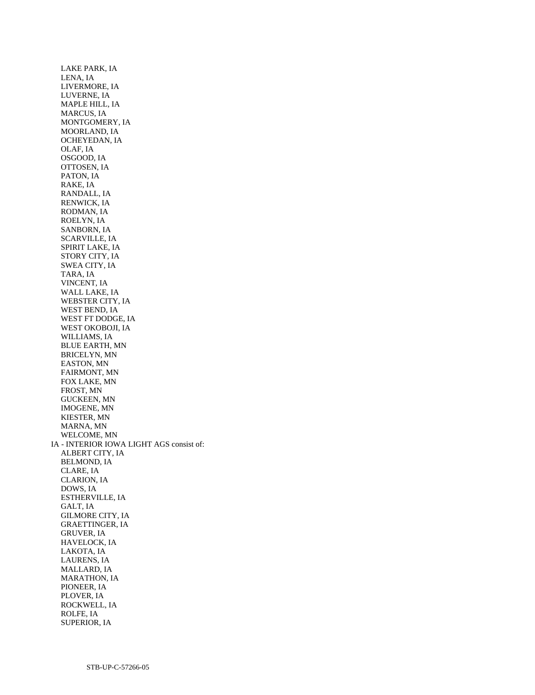LAKE PARK, IA LENA, IA LIVERMORE, IA LUVERNE, IA MAPLE HILL, IA MARCUS, IA MONTGOMERY, IA MOORLAND, IA OCHEYEDAN, IA OLAF, IA OSGOOD, IA OTTOSEN, IA PATON, IA RAKE, IA RANDALL, IA RENWICK, IA RODMAN, IA ROELYN, IA SANBORN, IA SCARVILLE, IA SPIRIT LAKE, IA STORY CITY, IA SWEA CITY, IA TARA, IA VINCENT, IA WALL LAKE, IA WEBSTER CITY, IA WEST BEND, IA WEST FT DODGE, IA WEST OKOBOJI, IA WILLIAMS, IA BLUE EARTH, MN BRICELYN, MN EASTON, MN FAIRMONT, MN FOX LAKE, MN FROST, MN GUCKEEN, MN IMOGENE, MN KIESTER, MN MARNA, MN WELCOME, MN IA - INTERIOR IOWA LIGHT AGS consist of: ALBERT CITY, IA BELMOND, IA CLARE, IA CLARION, IA DOWS, IA ESTHERVILLE, IA GALT, IA GILMORE CITY, IA GRAETTINGER, IA GRUVER, IA HAVELOCK, IA LAKOTA, IA LAURENS, IA MALLARD, IA MARATHON, IA PIONEER, IA PLOVER, IA ROCKWELL, IA ROLFE, IA SUPERIOR, IA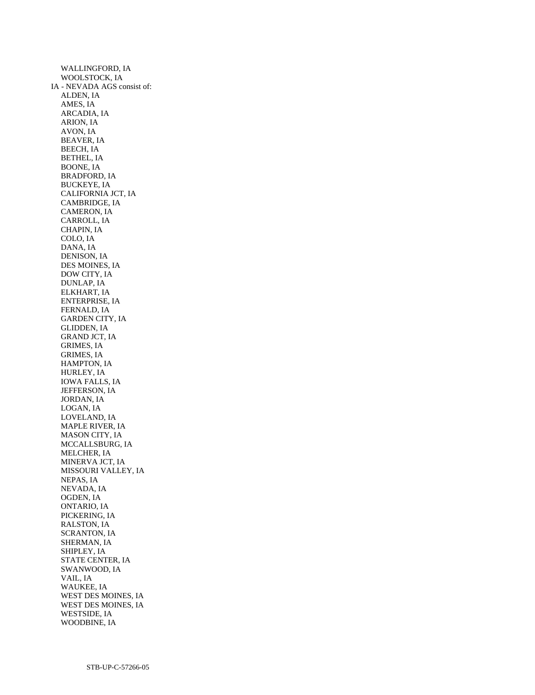WALLINGFORD, IA WOOLSTOCK, IA IA - NEVADA AGS consist of: ALDEN, IA AMES, IA ARCADIA, IA ARION, IA AVON, IA BEAVER, IA BEECH, IA BETHEL, IA BOONE, IA BRADFORD, IA BUCKEYE, IA CALIFORNIA JCT, IA CAMBRIDGE, IA CAMERON, IA CARROLL, IA CHAPIN, IA COLO, IA DANA, IA DENISON, IA DES MOINES, IA DOW CITY, IA DUNLAP, IA ELKHART, IA ENTERPRISE, IA FERNALD, IA GARDEN CITY, IA GLIDDEN, IA GRAND JCT, IA GRIMES, IA GRIMES, IA HAMPTON, IA HURLEY, IA IOWA FALLS, IA JEFFERSON, IA JORDAN, IA LOGAN, IA LOVELAND, IA MAPLE RIVER, IA MASON CITY, IA MCCALLSBURG, IA MELCHER, IA MINERVA JCT, IA MISSOURI VALLEY, IA NEPAS, IA NEVADA, IA OGDEN, IA ONTARIO, IA PICKERING, IA RALSTON, IA SCRANTON, IA SHERMAN, IA SHIPLEY, IA STATE CENTER, IA SWANWOOD, IA VAIL, IA WAUKEE, IA WEST DES MOINES, IA WEST DES MOINES, IA WESTSIDE, IA WOODBINE, IA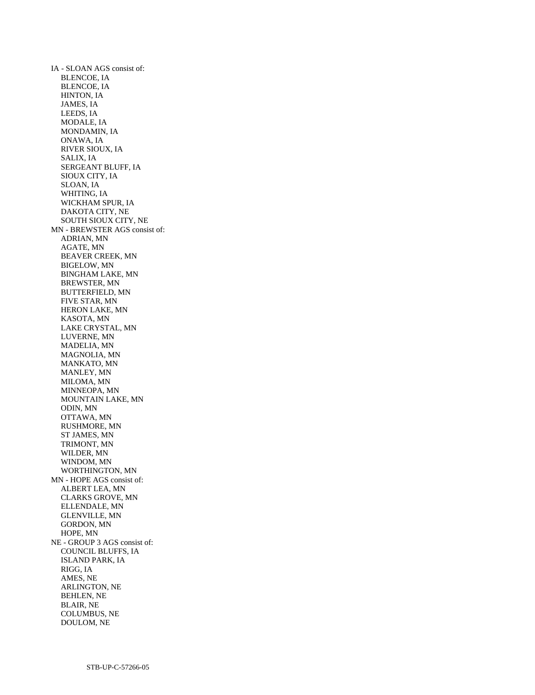IA - SLOAN AGS consist of: BLENCOE, IA BLENCOE, IA HINTON, IA JAMES, IA LEEDS, IA MODALE, IA MONDAMIN, IA ONAWA, IA RIVER SIOUX, IA SALIX, IA SERGEANT BLUFF, IA SIOUX CITY, IA SLOAN, IA WHITING, IA WICKHAM SPUR, IA DAKOTA CITY, NE SOUTH SIOUX CITY, NE MN - BREWSTER AGS consist of: ADRIAN, MN AGATE, MN BEAVER CREEK, MN BIGELOW, MN BINGHAM LAKE, MN BREWSTER, MN BUTTERFIELD, MN FIVE STAR, MN HERON LAKE, MN KASOTA, MN LAKE CRYSTAL, MN LUVERNE, MN MADELIA, MN MAGNOLIA, MN MANKATO, MN MANLEY, MN MILOMA, MN MINNEOPA, MN MOUNTAIN LAKE, MN ODIN, MN OTTAWA, MN RUSHMORE, MN ST JAMES, MN TRIMONT, MN WILDER, MN WINDOM, MN WORTHINGTON, MN MN - HOPE AGS consist of: ALBERT LEA, MN CLARKS GROVE, MN ELLENDALE, MN GLENVILLE, MN GORDON, MN HOPE, MN NE - GROUP 3 AGS consist of: COUNCIL BLUFFS, IA ISLAND PARK, IA RIGG, IA AMES, NE ARLINGTON, NE BEHLEN, NE BLAIR, NE COLUMBUS, NE DOULOM, NE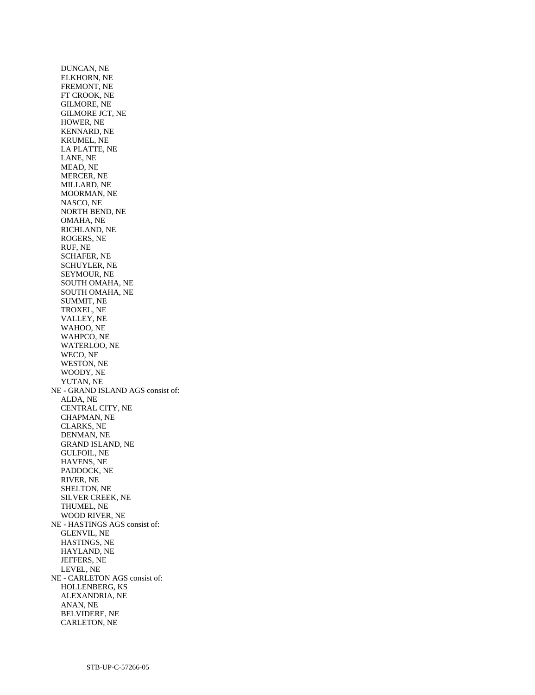DUNCAN, NE ELKHORN, NE FREMONT, NE FT CROOK, NE GILMORE, NE GILMORE JCT, NE HOWER, NE KENNARD, NE KRUMEL, NE LA PLATTE, NE LANE, NE MEAD, NE MERCER, NE MILLARD, NE MOORMAN, NE NASCO, NE NORTH BEND, NE OMAHA, NE RICHLAND, NE ROGERS, NE RUF, NE SCHAFER, NE SCHUYLER, NE SEYMOUR, NE SOUTH OMAHA, NE SOUTH OMAHA, NE SUMMIT, NE TROXEL, NE VALLEY, NE WAHOO, NE WAHPCO, NE WATERLOO, NE WECO, NE WESTON, NE WOODY, NE YUTAN, NE NE - GRAND ISLAND AGS consist of: ALDA, NE CENTRAL CITY, NE CHAPMAN, NE CLARKS, NE DENMAN, NE GRAND ISLAND, NE GULFOIL, NE HAVENS, NE PADDOCK, NE RIVER, NE SHELTON, NE SILVER CREEK, NE THUMEL, NE WOOD RIVER, NE NE - HASTINGS AGS consist of: GLENVIL, NE HASTINGS, NE HAYLAND, NE JEFFERS, NE LEVEL, NE NE - CARLETON AGS consist of: HOLLENBERG, KS ALEXANDRIA, NE ANAN, NE BELVIDERE, NE CARLETON, NE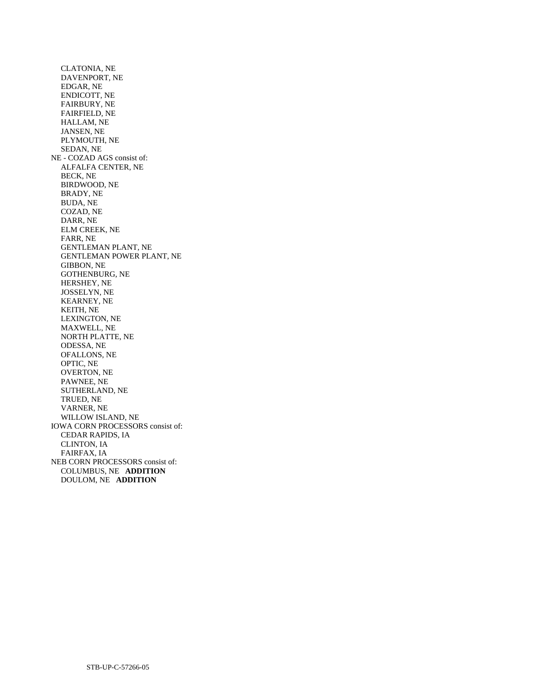CLATONIA, NE DAVENPORT, NE EDGAR, NE ENDICOTT, NE FAIRBURY, NE FAIRFIELD, NE HALLAM, NE JANSEN, NE PLYMOUTH, NE SEDAN, NE NE - COZAD AGS consist of: ALFALFA CENTER, NE BECK, NE BIRDWOOD, NE BRADY, NE BUDA, NE COZAD, NE DARR, NE ELM CREEK, NE FARR, NE GENTLEMAN PLANT, NE GENTLEMAN POWER PLANT, NE GIBBON, NE GOTHENBURG, NE HERSHEY, NE JOSSELYN, NE KEARNEY, NE KEITH, NE LEXINGTON, NE MAXWELL, NE NORTH PLATTE, NE ODESSA, NE OFALLONS, NE OPTIC, NE OVERTON, NE PAWNEE, NE SUTHERLAND, NE TRUED, NE VARNER, NE WILLOW ISLAND, NE IOWA CORN PROCESSORS consist of: CEDAR RAPIDS, IA CLINTON, IA FAIRFAX, IA NEB CORN PROCESSORS consist of: COLUMBUS, NE **ADDITION**  DOULOM, NE **ADDITION**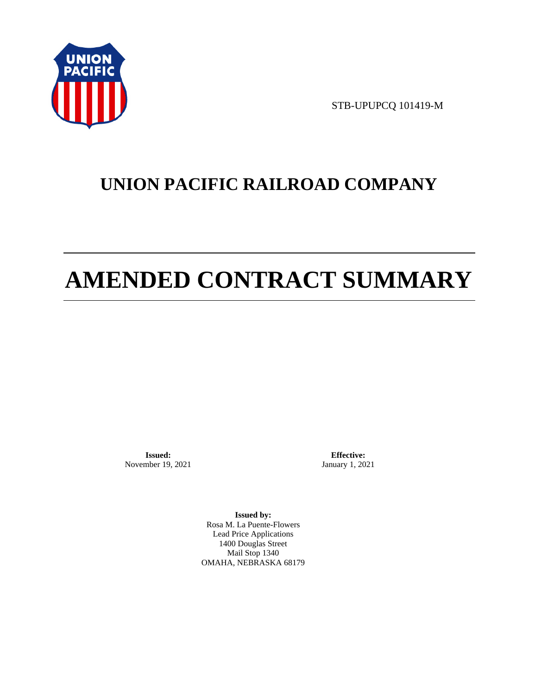

STB-UPUPCQ 101419-M

# **UNION PACIFIC RAILROAD COMPANY**

# **AMENDED CONTRACT SUMMARY**

**Issued:**  November 19, 2021

**Effective:** January 1, 2021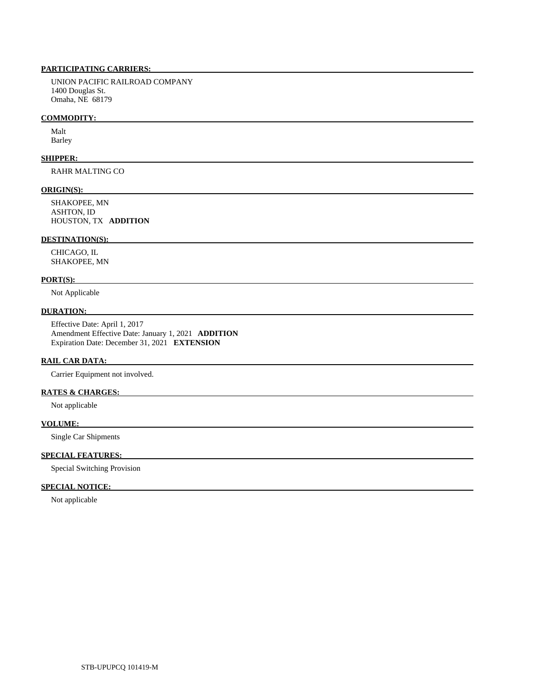UNION PACIFIC RAILROAD COMPANY 1400 Douglas St. Omaha, NE 68179

#### **COMMODITY:**

 Malt Barley

#### **SHIPPER:**

RAHR MALTING CO

#### **ORIGIN(S):**

 SHAKOPEE, MN ASHTON, ID HOUSTON, TX **ADDITION** 

### **DESTINATION(S):**

 CHICAGO, IL SHAKOPEE, MN

#### **PORT(S):**

Not Applicable

#### **DURATION:**

 Effective Date: April 1, 2017 Amendment Effective Date: January 1, 2021 **ADDITION**  Expiration Date: December 31, 2021 **EXTENSION** 

#### **RAIL CAR DATA:**

Carrier Equipment not involved.

# **RATES & CHARGES:**

Not applicable

#### **VOLUME:**

Single Car Shipments

# **SPECIAL FEATURES:**

Special Switching Provision

#### **SPECIAL NOTICE:**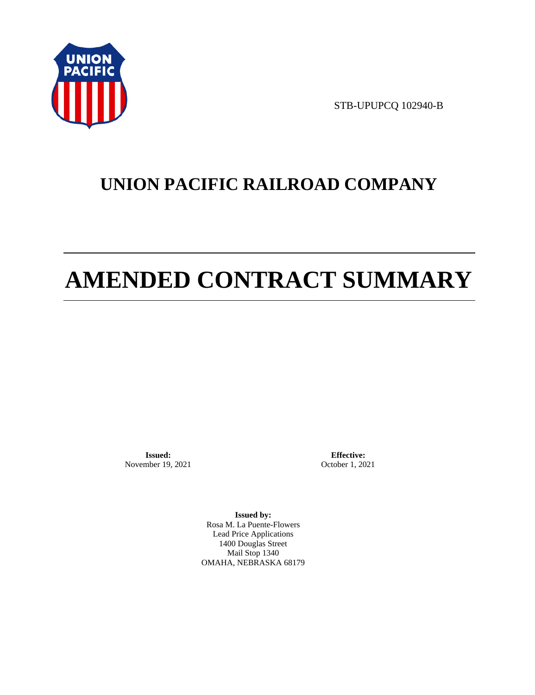

STB-UPUPCQ 102940-B

# **UNION PACIFIC RAILROAD COMPANY**

# **AMENDED CONTRACT SUMMARY**

**Issued:**  November 19, 2021

**Effective:** October 1, 2021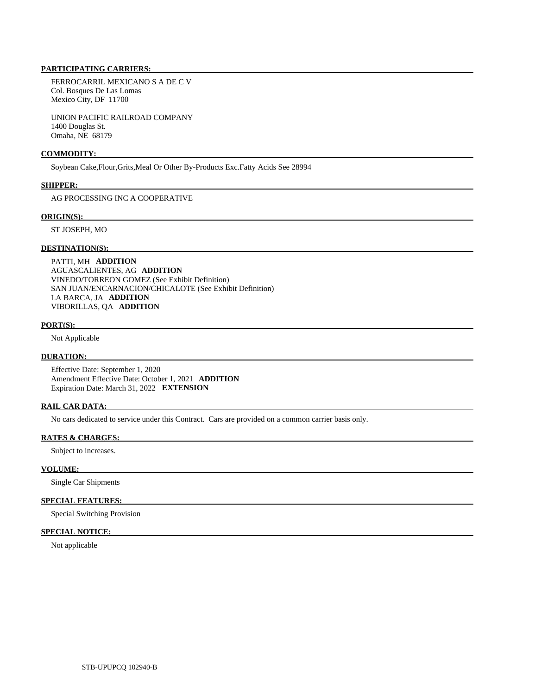FERROCARRIL MEXICANO S A DE C V Col. Bosques De Las Lomas Mexico City, DF 11700

 UNION PACIFIC RAILROAD COMPANY 1400 Douglas St. Omaha, NE 68179

#### **COMMODITY:**

Soybean Cake,Flour,Grits,Meal Or Other By-Products Exc.Fatty Acids See 28994

#### **SHIPPER:**

AG PROCESSING INC A COOPERATIVE

#### **ORIGIN(S):**

ST JOSEPH, MO

#### **DESTINATION(S):**

 PATTI, MH **ADDITION**  AGUASCALIENTES, AG **ADDITION**  VINEDO/TORREON GOMEZ (See Exhibit Definition) SAN JUAN/ENCARNACION/CHICALOTE (See Exhibit Definition) LA BARCA, JA **ADDITION**  VIBORILLAS, QA **ADDITION** 

#### **PORT(S):**

Not Applicable

#### **DURATION:**

 Effective Date: September 1, 2020 Amendment Effective Date: October 1, 2021 **ADDITION**  Expiration Date: March 31, 2022 **EXTENSION** 

### **RAIL CAR DATA:**

No cars dedicated to service under this Contract. Cars are provided on a common carrier basis only.

#### **RATES & CHARGES:**

Subject to increases.

#### **VOLUME:**

Single Car Shipments

### **SPECIAL FEATURES:**

Special Switching Provision

#### **SPECIAL NOTICE:**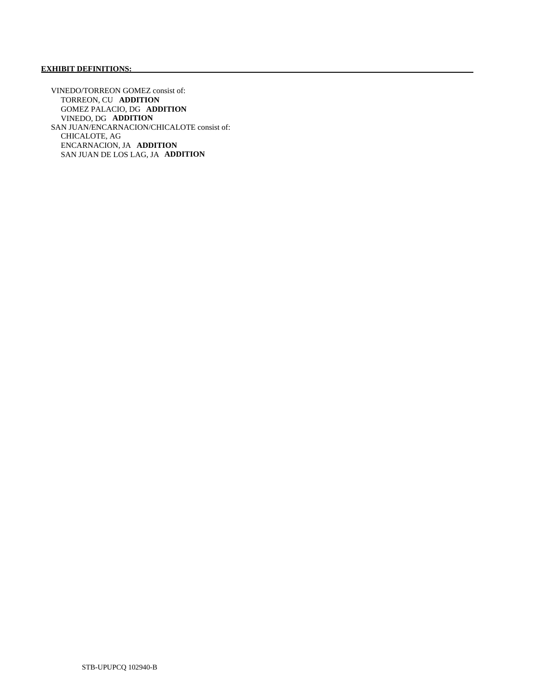# **EXHIBIT DEFINITIONS:**

 VINEDO/TORREON GOMEZ consist of: TORREON, CU **ADDITION**  GOMEZ PALACIO, DG **ADDITION**  VINEDO, DG **ADDITION**  SAN JUAN/ENCARNACION/CHICALOTE consist of: CHICALOTE, AG ENCARNACION, JA **ADDITION**  SAN JUAN DE LOS LAG, JA **ADDITION**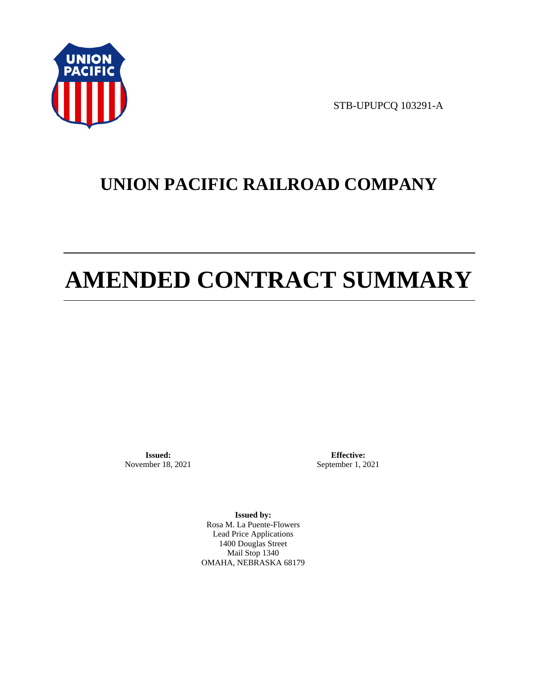

STB-UPUPCQ 103291-A

# **UNION PACIFIC RAILROAD COMPANY**

# **AMENDED CONTRACT SUMMARY**

**Issued:**  November 18, 2021

**Effective:** September 1, 2021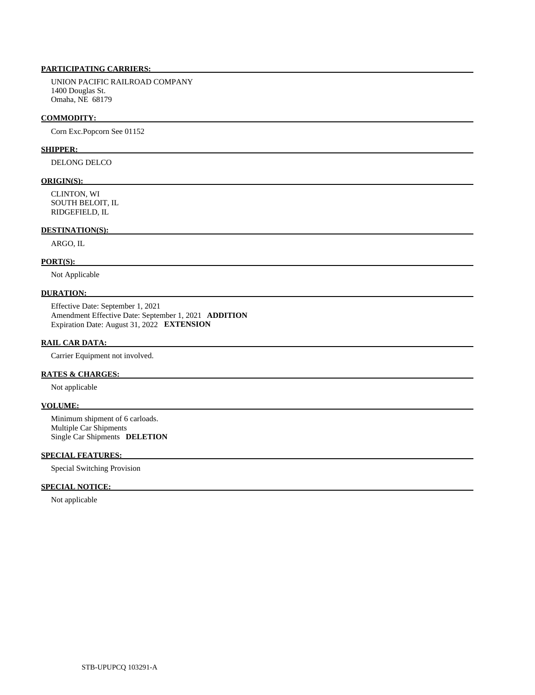UNION PACIFIC RAILROAD COMPANY 1400 Douglas St. Omaha, NE 68179

#### **COMMODITY:**

Corn Exc.Popcorn See 01152

#### **SHIPPER:**

DELONG DELCO

#### **ORIGIN(S):**

 CLINTON, WI SOUTH BELOIT, IL RIDGEFIELD, IL

## **DESTINATION(S):**

ARGO, IL

#### **PORT(S):**

Not Applicable

# **DURATION:**

 Effective Date: September 1, 2021 Amendment Effective Date: September 1, 2021 **ADDITION**  Expiration Date: August 31, 2022 **EXTENSION** 

#### **RAIL CAR DATA:**

Carrier Equipment not involved.

### **RATES & CHARGES:**

Not applicable

### **VOLUME:**

 Minimum shipment of 6 carloads. Multiple Car Shipments Single Car Shipments **DELETION** 

## **SPECIAL FEATURES:**

Special Switching Provision

#### **SPECIAL NOTICE:**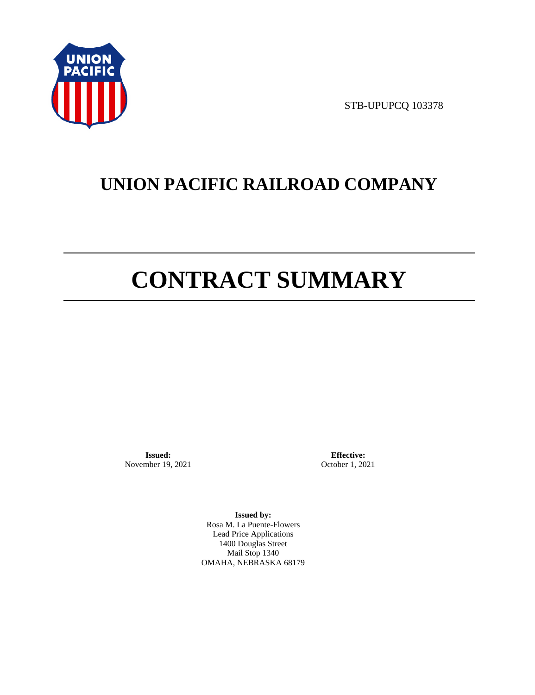

STB-UPUPCQ 103378

# **UNION PACIFIC RAILROAD COMPANY**

# **CONTRACT SUMMARY**

**Issued:**  November 19, 2021

**Effective:** October 1, 2021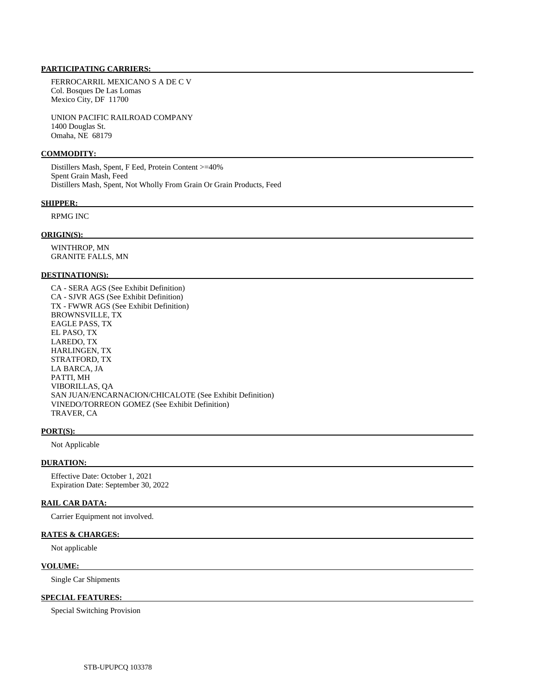FERROCARRIL MEXICANO S A DE C V Col. Bosques De Las Lomas Mexico City, DF 11700

 UNION PACIFIC RAILROAD COMPANY 1400 Douglas St. Omaha, NE 68179

#### **COMMODITY:**

 Distillers Mash, Spent, F Eed, Protein Content >=40% Spent Grain Mash, Feed Distillers Mash, Spent, Not Wholly From Grain Or Grain Products, Feed

#### **SHIPPER:**

### RPMG INC

#### **ORIGIN(S):**

 WINTHROP, MN GRANITE FALLS, MN

#### **DESTINATION(S):**

 CA - SERA AGS (See Exhibit Definition) CA - SJVR AGS (See Exhibit Definition) TX - FWWR AGS (See Exhibit Definition) BROWNSVILLE, TX EAGLE PASS, TX EL PASO, TX LAREDO, TX HARLINGEN, TX STRATFORD, TX LA BARCA, JA PATTI, MH VIBORILLAS, QA SAN JUAN/ENCARNACION/CHICALOTE (See Exhibit Definition) VINEDO/TORREON GOMEZ (See Exhibit Definition) TRAVER, CA

#### **PORT(S):**

Not Applicable

#### **DURATION:**

 Effective Date: October 1, 2021 Expiration Date: September 30, 2022

#### **RAIL CAR DATA:**

Carrier Equipment not involved.

#### **RATES & CHARGES:**

Not applicable

#### **VOLUME:**

Single Car Shipments

#### **SPECIAL FEATURES:**

Special Switching Provision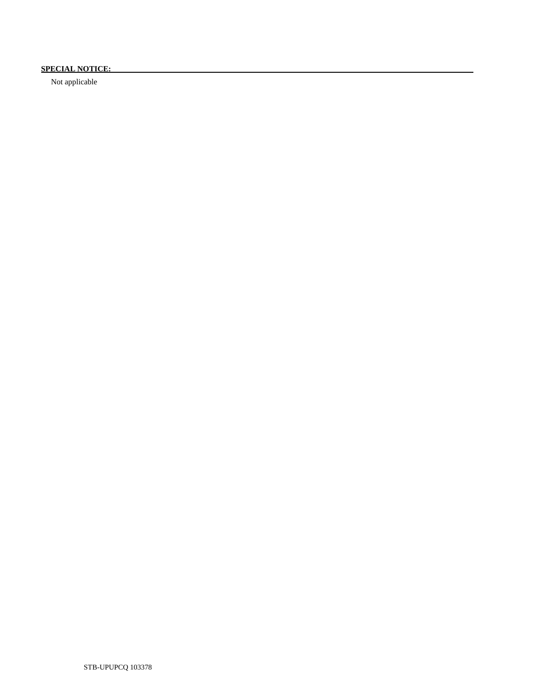# **SPECIAL NOTICE:**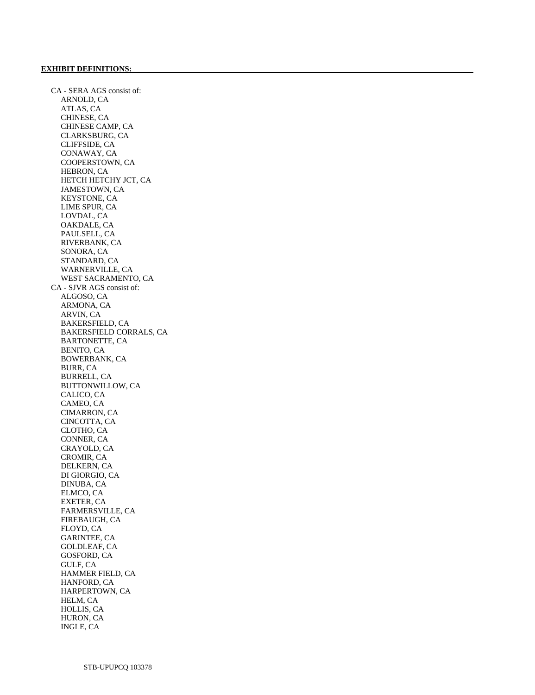CA - SERA AGS consist of: ARNOLD, CA ATLAS, CA CHINESE, CA CHINESE CAMP, CA CLARKSBURG, CA CLIFFSIDE, CA CONAWAY, CA COOPERSTOWN, CA HEBRON, CA HETCH HETCHY JCT, CA JAMESTOWN, CA KEYSTONE, CA LIME SPUR, CA LOVDAL, CA OAKDALE, CA PAULSELL, CA RIVERBANK, CA SONORA, CA STANDARD, CA WARNERVILLE, CA WEST SACRAMENTO, CA CA - SJVR AGS consist of: ALGOSO, CA ARMONA, CA ARVIN, CA BAKERSFIELD, CA BAKERSFIELD CORRALS, CA BARTONETTE, CA BENITO, CA BOWERBANK, CA BURR, CA BURRELL, CA BUTTONWILLOW, CA CALICO, CA CAMEO, CA CIMARRON, CA CINCOTTA, CA CLOTHO, CA CONNER, CA CRAYOLD, CA CROMIR, CA DELKERN, CA DI GIORGIO, CA DINUBA, CA ELMCO, CA EXETER, CA FARMERSVILLE, CA FIREBAUGH, CA FLOYD, CA GARINTEE, CA GOLDLEAF, CA GOSFORD, CA GULF, CA HAMMER FIELD, CA HANFORD, CA HARPERTOWN, CA HELM, CA HOLLIS, CA HURON, CA INGLE, CA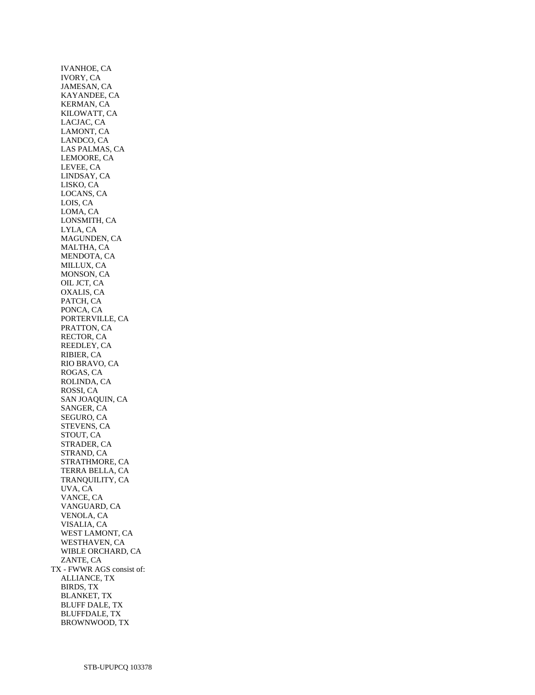IVANHOE, CA IVORY, CA JAMESAN, CA KAYANDEE, CA KERMAN, CA KILOWATT, CA LACJAC, CA LAMONT, CA LANDCO, CA LAS PALMAS, CA LEMOORE, CA LEVEE, CA LINDSAY, CA LISKO, CA LOCANS, CA LOIS, CA LOMA, CA LONSMITH, CA LYLA, CA MAGUNDEN, CA MALTHA, CA MENDOTA, CA MILLUX, CA MONSON, CA OIL JCT, CA OXALIS, CA PATCH, CA PONCA, CA PORTERVILLE, CA PRATTON, CA RECTOR, CA REEDLEY, CA RIBIER, CA RIO BRAVO, CA ROGAS, CA ROLINDA, CA ROSSI, CA SAN JOAQUIN, CA SANGER, CA SEGURO, CA STEVENS, CA STOUT, CA STRADER, CA STRAND, CA STRATHMORE, CA TERRA BELLA, CA TRANQUILITY, CA UVA, CA VANCE, CA VANGUARD, CA VENOLA, CA VISALIA, CA WEST LAMONT, CA WESTHAVEN, CA WIBLE ORCHARD, CA ZANTE, CA TX - FWWR AGS consist of: ALLIANCE, TX BIRDS, TX BLANKET, TX BLUFF DALE, TX BLUFFDALE, TX BROWNWOOD, TX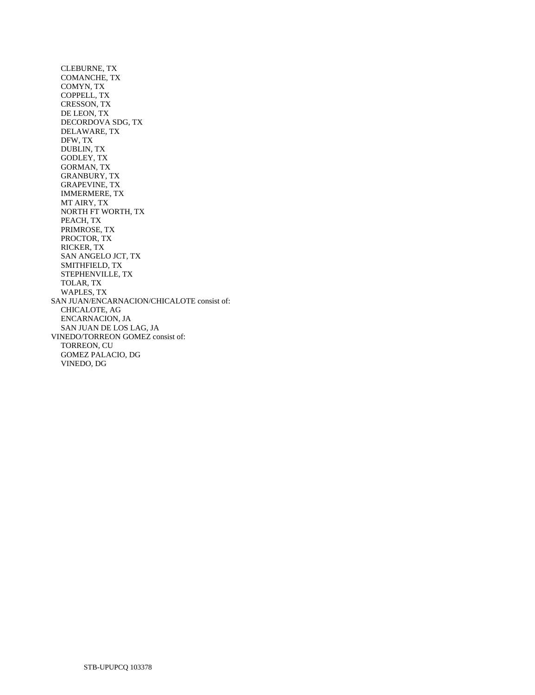CLEBURNE, TX COMANCHE, TX COMYN, TX COPPELL, TX CRESSON, TX DE LEON, TX DECORDOVA SDG, TX DELAWARE, TX DFW, TX DUBLIN, TX GODLEY, TX GORMAN, TX GRANBURY, TX GRAPEVINE, TX IMMERMERE, TX MT AIRY, TX NORTH FT WORTH, TX PEACH, TX PRIMROSE, TX PROCTOR, TX RICKER, TX SAN ANGELO JCT, TX SMITHFIELD, TX STEPHENVILLE, TX TOLAR, TX WAPLES, TX SAN JUAN/ENCARNACION/CHICALOTE consist of: CHICALOTE, AG ENCARNACION, JA SAN JUAN DE LOS LAG, JA VINEDO/TORREON GOMEZ consist of: TORREON, CU GOMEZ PALACIO, DG VINEDO, DG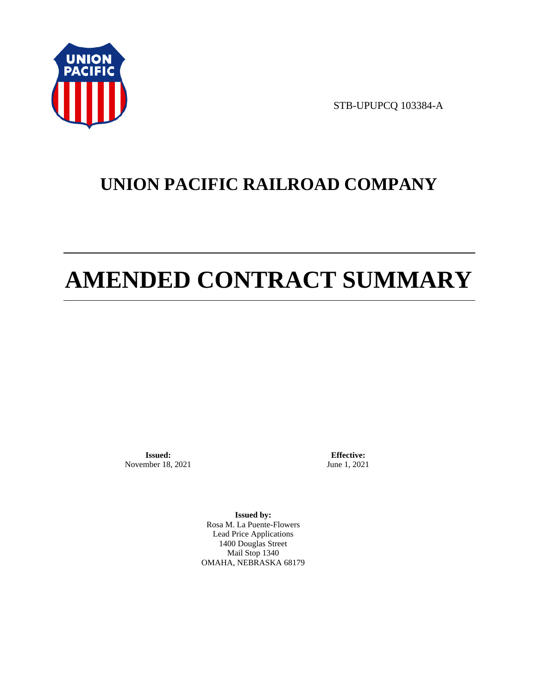

STB-UPUPCQ 103384-A

# **UNION PACIFIC RAILROAD COMPANY**

# **AMENDED CONTRACT SUMMARY**

**Issued:**  November 18, 2021

**Effective:** June 1, 2021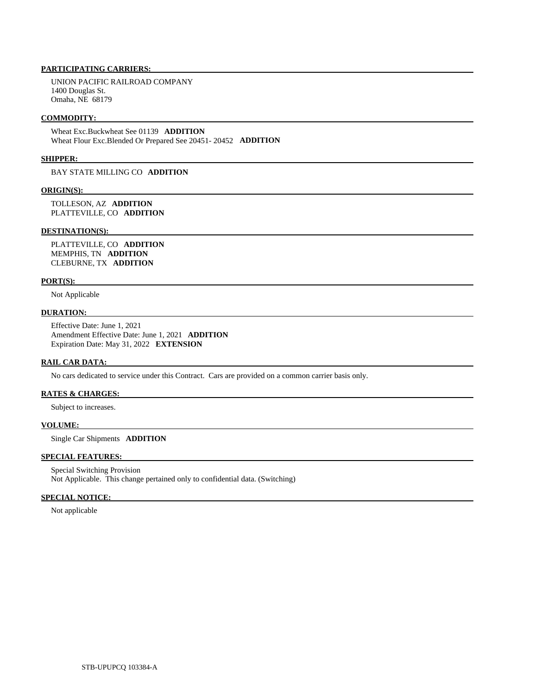UNION PACIFIC RAILROAD COMPANY 1400 Douglas St. Omaha, NE 68179

#### **COMMODITY:**

 Wheat Exc.Buckwheat See 01139 **ADDITION**  Wheat Flour Exc.Blended Or Prepared See 20451- 20452 **ADDITION** 

#### **SHIPPER:**

BAY STATE MILLING CO **ADDITION** 

#### **ORIGIN(S):**

 TOLLESON, AZ **ADDITION**  PLATTEVILLE, CO **ADDITION** 

#### **DESTINATION(S):**

 PLATTEVILLE, CO **ADDITION**  MEMPHIS, TN **ADDITION**  CLEBURNE, TX **ADDITION** 

#### **PORT(S):**

Not Applicable

#### **DURATION:**

 Effective Date: June 1, 2021 Amendment Effective Date: June 1, 2021 **ADDITION**  Expiration Date: May 31, 2022 **EXTENSION** 

### **RAIL CAR DATA:**

No cars dedicated to service under this Contract. Cars are provided on a common carrier basis only.

### **RATES & CHARGES:**

Subject to increases.

#### **VOLUME:**

Single Car Shipments **ADDITION** 

## **SPECIAL FEATURES:**

 Special Switching Provision Not Applicable. This change pertained only to confidential data. (Switching)

#### **SPECIAL NOTICE:**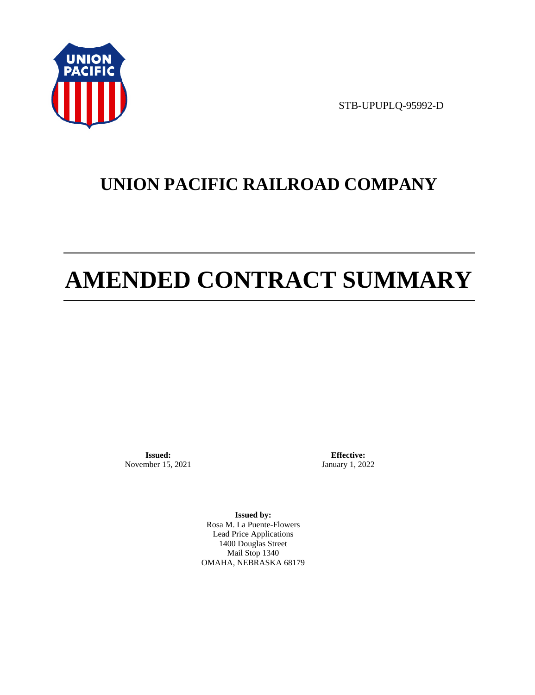

STB-UPUPLQ-95992-D

# **UNION PACIFIC RAILROAD COMPANY**

# **AMENDED CONTRACT SUMMARY**

**Issued:**  November 15, 2021

**Effective:** January 1, 2022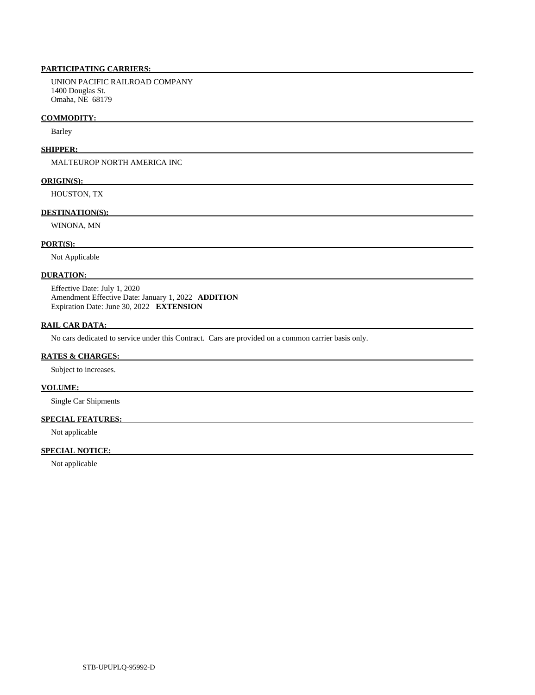UNION PACIFIC RAILROAD COMPANY 1400 Douglas St. Omaha, NE 68179

#### **COMMODITY:**

Barley

#### **SHIPPER:**

MALTEUROP NORTH AMERICA INC

#### **ORIGIN(S):**

HOUSTON, TX

#### **DESTINATION(S):**

WINONA, MN

#### **PORT(S):**

Not Applicable

### **DURATION:**

 Effective Date: July 1, 2020 Amendment Effective Date: January 1, 2022 **ADDITION**  Expiration Date: June 30, 2022 **EXTENSION** 

### **RAIL CAR DATA:**

No cars dedicated to service under this Contract. Cars are provided on a common carrier basis only.

#### **RATES & CHARGES:**

Subject to increases.

#### **VOLUME:**

Single Car Shipments

### **SPECIAL FEATURES:**

Not applicable

## **SPECIAL NOTICE:**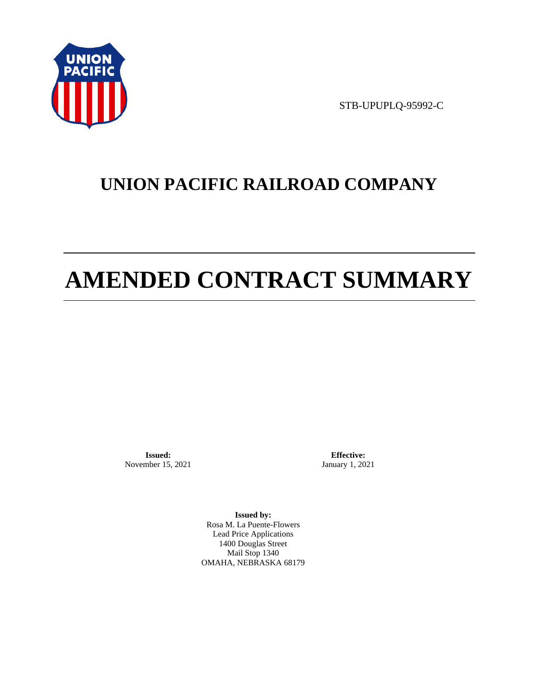

STB-UPUPLQ-95992-C

# **UNION PACIFIC RAILROAD COMPANY**

# **AMENDED CONTRACT SUMMARY**

**Issued:**  November 15, 2021

**Effective:** January 1, 2021